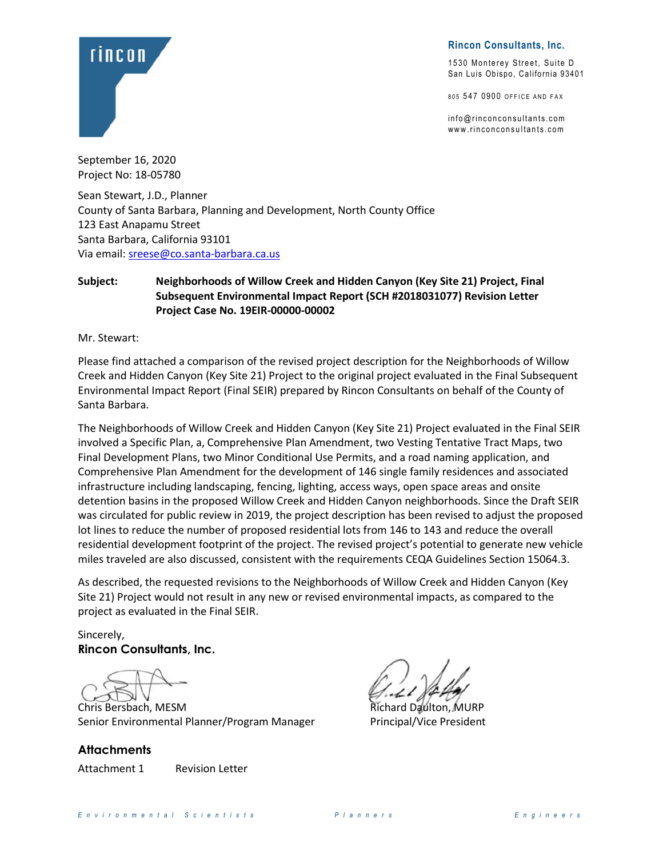

**Rincon Consultants, Inc.**

1530 Monterey Street, Suite D San Luis Obispo, California 93401

805 547 0900 OFFICE AND FAX

 $info@rinconconsultants.com$ www.rinconconsultants.com

September 16, 2020 Project No: 18-05780

Sean Stewart, J.D., Planner County of Santa Barbara, Planning and Development, North County Office 123 East Anapamu Street Santa Barbara, California 93101 Via email[: sreese@co.santa-barbara.ca.us](mailto:sreese@co.santa-barbara.ca.us)

#### **Subject: Neighborhoods of Willow Creek and Hidden Canyon (Key Site 21) Project, Final Subsequent Environmental Impact Report (SCH #2018031077) Revision Letter Project Case No. 19EIR-00000-00002**

Mr. Stewart:

Please find attached a comparison of the revised project description for the Neighborhoods of Willow Creek and Hidden Canyon (Key Site 21) Project to the original project evaluated in the Final Subsequent Environmental Impact Report (Final SEIR) prepared by Rincon Consultants on behalf of the County of Santa Barbara.

The Neighborhoods of Willow Creek and Hidden Canyon (Key Site 21) Project evaluated in the Final SEIR involved a Specific Plan, a, Comprehensive Plan Amendment, two Vesting Tentative Tract Maps, two Final Development Plans, two Minor Conditional Use Permits, and a road naming application, and Comprehensive Plan Amendment for the development of 146 single family residences and associated infrastructure including landscaping, fencing, lighting, access ways, open space areas and onsite detention basins in the proposed Willow Creek and Hidden Canyon neighborhoods. Since the Draft SEIR was circulated for public review in 2019, the project description has been revised to adjust the proposed lot lines to reduce the number of proposed residential lots from 146 to 143 and reduce the overall residential development footprint of the project. The revised project's potential to generate new vehicle miles traveled are also discussed, consistent with the requirements CEQA Guidelines Section 15064.3.

As described, the requested revisions to the Neighborhoods of Willow Creek and Hidden Canyon (Key Site 21) Project would not result in any new or revised environmental impacts, as compared to the project as evaluated in the Final SEIR.

Sincerely, **Rincon Consultants, Inc.**

Chris Bersbach, MESM **Richard Daulton, MURP** Senior Environmental Planner/Program Manager Principal/Vice President

**Attachments**

Attachment 1 Revision Letter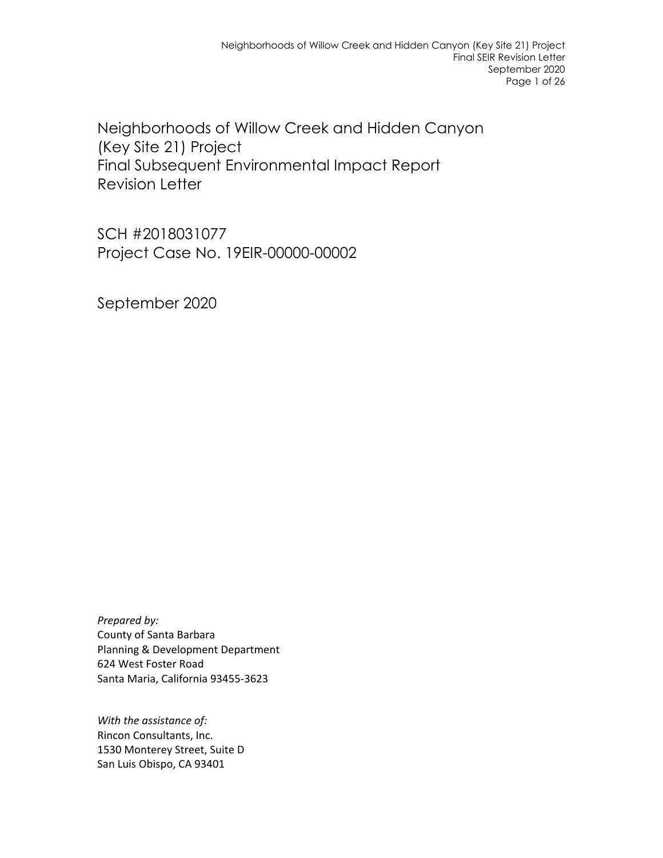Neighborhoods of Willow Creek and Hidden Canyon (Key Site 21) Project Final Subsequent Environmental Impact Report Revision Letter

SCH #2018031077 Project Case No. 19EIR-00000-00002

September 2020

*Prepared by:* County of Santa Barbara Planning & Development Department 624 West Foster Road Santa Maria, California 93455-3623

*With the assistance of:* Rincon Consultants, Inc. 1530 Monterey Street, Suite D San Luis Obispo, CA 93401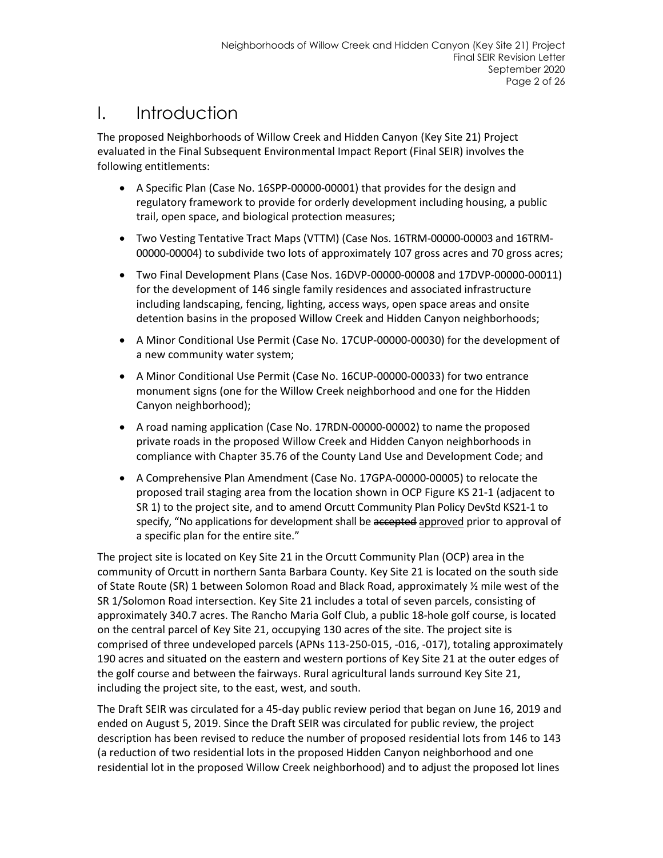## I. Introduction

The proposed Neighborhoods of Willow Creek and Hidden Canyon (Key Site 21) Project evaluated in the Final Subsequent Environmental Impact Report (Final SEIR) involves the following entitlements:

- A Specific Plan (Case No. 16SPP-00000-00001) that provides for the design and regulatory framework to provide for orderly development including housing, a public trail, open space, and biological protection measures;
- Two Vesting Tentative Tract Maps (VTTM) (Case Nos. 16TRM-00000-00003 and 16TRM-00000-00004) to subdivide two lots of approximately 107 gross acres and 70 gross acres;
- Two Final Development Plans (Case Nos. 16DVP-00000-00008 and 17DVP-00000-00011) for the development of 146 single family residences and associated infrastructure including landscaping, fencing, lighting, access ways, open space areas and onsite detention basins in the proposed Willow Creek and Hidden Canyon neighborhoods;
- A Minor Conditional Use Permit (Case No. 17CUP-00000-00030) for the development of a new community water system;
- A Minor Conditional Use Permit (Case No. 16CUP-00000-00033) for two entrance monument signs (one for the Willow Creek neighborhood and one for the Hidden Canyon neighborhood);
- A road naming application (Case No. 17RDN-00000-00002) to name the proposed private roads in the proposed Willow Creek and Hidden Canyon neighborhoods in compliance with Chapter 35.76 of the County Land Use and Development Code; and
- A Comprehensive Plan Amendment (Case No. 17GPA-00000-00005) to relocate the proposed trail staging area from the location shown in OCP Figure KS 21-1 (adjacent to SR 1) to the project site, and to amend Orcutt Community Plan Policy DevStd KS21-1 to specify, "No applications for development shall be accepted approved prior to approval of a specific plan for the entire site."

The project site is located on Key Site 21 in the Orcutt Community Plan (OCP) area in the community of Orcutt in northern Santa Barbara County. Key Site 21 is located on the south side of State Route (SR) 1 between Solomon Road and Black Road, approximately ½ mile west of the SR 1/Solomon Road intersection. Key Site 21 includes a total of seven parcels, consisting of approximately 340.7 acres. The Rancho Maria Golf Club, a public 18-hole golf course, is located on the central parcel of Key Site 21, occupying 130 acres of the site. The project site is comprised of three undeveloped parcels (APNs 113-250-015, -016, -017), totaling approximately 190 acres and situated on the eastern and western portions of Key Site 21 at the outer edges of the golf course and between the fairways. Rural agricultural lands surround Key Site 21, including the project site, to the east, west, and south.

The Draft SEIR was circulated for a 45-day public review period that began on June 16, 2019 and ended on August 5, 2019. Since the Draft SEIR was circulated for public review, the project description has been revised to reduce the number of proposed residential lots from 146 to 143 (a reduction of two residential lots in the proposed Hidden Canyon neighborhood and one residential lot in the proposed Willow Creek neighborhood) and to adjust the proposed lot lines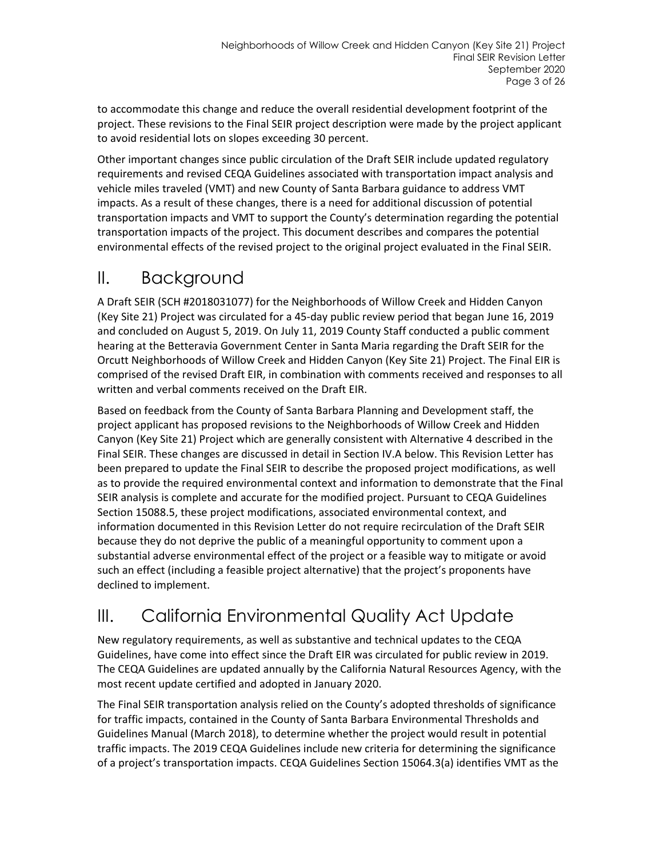to accommodate this change and reduce the overall residential development footprint of the project. These revisions to the Final SEIR project description were made by the project applicant to avoid residential lots on slopes exceeding 30 percent.

Other important changes since public circulation of the Draft SEIR include updated regulatory requirements and revised CEQA Guidelines associated with transportation impact analysis and vehicle miles traveled (VMT) and new County of Santa Barbara guidance to address VMT impacts. As a result of these changes, there is a need for additional discussion of potential transportation impacts and VMT to support the County's determination regarding the potential transportation impacts of the project. This document describes and compares the potential environmental effects of the revised project to the original project evaluated in the Final SEIR.

## II. Background

A Draft SEIR (SCH #2018031077) for the Neighborhoods of Willow Creek and Hidden Canyon (Key Site 21) Project was circulated for a 45-day public review period that began June 16, 2019 and concluded on August 5, 2019. On July 11, 2019 County Staff conducted a public comment hearing at the Betteravia Government Center in Santa Maria regarding the Draft SEIR for the Orcutt Neighborhoods of Willow Creek and Hidden Canyon (Key Site 21) Project. The Final EIR is comprised of the revised Draft EIR, in combination with comments received and responses to all written and verbal comments received on the Draft EIR.

Based on feedback from the County of Santa Barbara Planning and Development staff, the project applicant has proposed revisions to the Neighborhoods of Willow Creek and Hidden Canyon (Key Site 21) Project which are generally consistent with Alternative 4 described in the Final SEIR. These changes are discussed in detail in Section IV.A below. This Revision Letter has been prepared to update the Final SEIR to describe the proposed project modifications, as well as to provide the required environmental context and information to demonstrate that the Final SEIR analysis is complete and accurate for the modified project. Pursuant to CEQA Guidelines Section 15088.5, these project modifications, associated environmental context, and information documented in this Revision Letter do not require recirculation of the Draft SEIR because they do not deprive the public of a meaningful opportunity to comment upon a substantial adverse environmental effect of the project or a feasible way to mitigate or avoid such an effect (including a feasible project alternative) that the project's proponents have declined to implement.

# III. California Environmental Quality Act Update

New regulatory requirements, as well as substantive and technical updates to the CEQA Guidelines, have come into effect since the Draft EIR was circulated for public review in 2019. The CEQA Guidelines are updated annually by the California Natural Resources Agency, with the most recent update certified and adopted in January 2020.

The Final SEIR transportation analysis relied on the County's adopted thresholds of significance for traffic impacts, contained in the County of Santa Barbara Environmental Thresholds and Guidelines Manual (March 2018), to determine whether the project would result in potential traffic impacts. The 2019 CEQA Guidelines include new criteria for determining the significance of a project's transportation impacts. CEQA Guidelines Section 15064.3(a) identifies VMT as the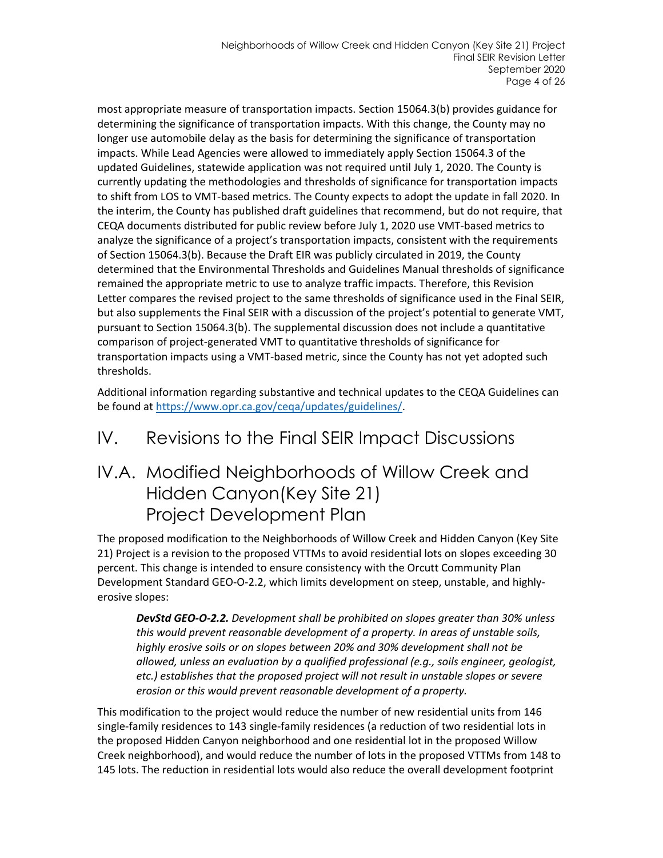most appropriate measure of transportation impacts. Section 15064.3(b) provides guidance for determining the significance of transportation impacts. With this change, the County may no longer use automobile delay as the basis for determining the significance of transportation impacts. While Lead Agencies were allowed to immediately apply Section 15064.3 of the updated Guidelines, statewide application was not required until July 1, 2020. The County is currently updating the methodologies and thresholds of significance for transportation impacts to shift from LOS to VMT-based metrics. The County expects to adopt the update in fall 2020. In the interim, the County has published draft guidelines that recommend, but do not require, that CEQA documents distributed for public review before July 1, 2020 use VMT-based metrics to analyze the significance of a project's transportation impacts, consistent with the requirements of Section 15064.3(b). Because the Draft EIR was publicly circulated in 2019, the County determined that the Environmental Thresholds and Guidelines Manual thresholds of significance remained the appropriate metric to use to analyze traffic impacts. Therefore, this Revision Letter compares the revised project to the same thresholds of significance used in the Final SEIR, but also supplements the Final SEIR with a discussion of the project's potential to generate VMT, pursuant to Section 15064.3(b). The supplemental discussion does not include a quantitative comparison of project-generated VMT to quantitative thresholds of significance for transportation impacts using a VMT-based metric, since the County has not yet adopted such thresholds.

Additional information regarding substantive and technical updates to the CEQA Guidelines can be found at [https://www.opr.ca.gov/ceqa/updates/guidelines/.](https://www.opr.ca.gov/ceqa/updates/guidelines/)

## IV. Revisions to the Final SEIR Impact Discussions

## IV.A. Modified Neighborhoods of Willow Creek and Hidden Canyon(Key Site 21) Project Development Plan

The proposed modification to the Neighborhoods of Willow Creek and Hidden Canyon (Key Site 21) Project is a revision to the proposed VTTMs to avoid residential lots on slopes exceeding 30 percent. This change is intended to ensure consistency with the Orcutt Community Plan Development Standard GEO-O-2.2, which limits development on steep, unstable, and highlyerosive slopes:

*DevStd GEO-O-2.2. Development shall be prohibited on slopes greater than 30% unless this would prevent reasonable development of a property. In areas of unstable soils, highly erosive soils or on slopes between 20% and 30% development shall not be allowed, unless an evaluation by a qualified professional (e.g., soils engineer, geologist, etc.) establishes that the proposed project will not result in unstable slopes or severe erosion or this would prevent reasonable development of a property.*

This modification to the project would reduce the number of new residential units from 146 single-family residences to 143 single-family residences (a reduction of two residential lots in the proposed Hidden Canyon neighborhood and one residential lot in the proposed Willow Creek neighborhood), and would reduce the number of lots in the proposed VTTMs from 148 to 145 lots. The reduction in residential lots would also reduce the overall development footprint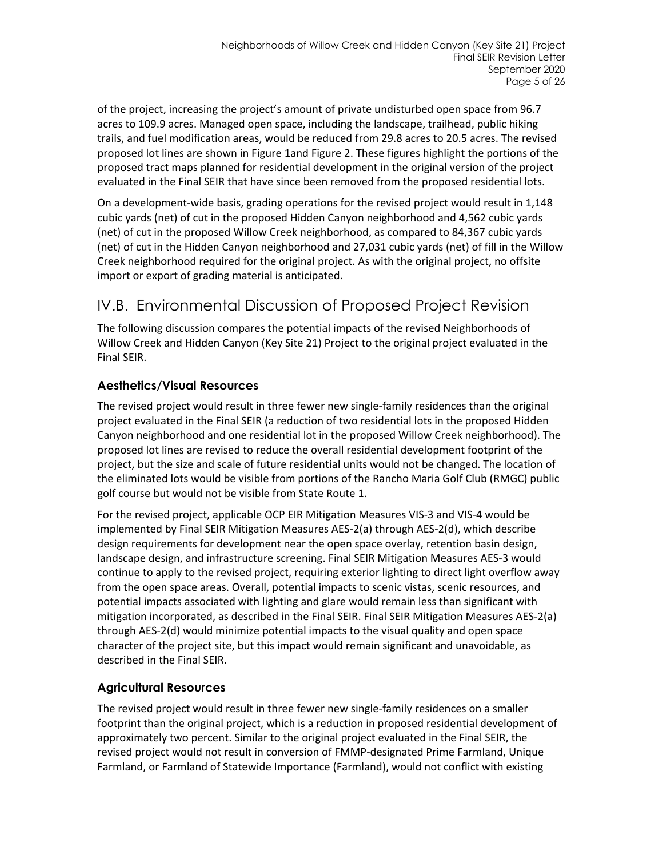of the project, increasing the project's amount of private undisturbed open space from 96.7 acres to 109.9 acres. Managed open space, including the landscape, trailhead, public hiking trails, and fuel modification areas, would be reduced from 29.8 acres to 20.5 acres. The revised proposed lot lines are shown in [Figure 1a](#page-6-0)n[d Figure 2.](#page-7-0) These figures highlight the portions of the proposed tract maps planned for residential development in the original version of the project evaluated in the Final SEIR that have since been removed from the proposed residential lots.

On a development-wide basis, grading operations for the revised project would result in 1,148 cubic yards (net) of cut in the proposed Hidden Canyon neighborhood and 4,562 cubic yards (net) of cut in the proposed Willow Creek neighborhood, as compared to 84,367 cubic yards (net) of cut in the Hidden Canyon neighborhood and 27,031 cubic yards (net) of fill in the Willow Creek neighborhood required for the original project. As with the original project, no offsite import or export of grading material is anticipated.

## IV.B. Environmental Discussion of Proposed Project Revision

The following discussion compares the potential impacts of the revised Neighborhoods of Willow Creek and Hidden Canyon (Key Site 21) Project to the original project evaluated in the Final SEIR.

### **Aesthetics/Visual Resources**

The revised project would result in three fewer new single-family residences than the original project evaluated in the Final SEIR (a reduction of two residential lots in the proposed Hidden Canyon neighborhood and one residential lot in the proposed Willow Creek neighborhood). The proposed lot lines are revised to reduce the overall residential development footprint of the project, but the size and scale of future residential units would not be changed. The location of the eliminated lots would be visible from portions of the Rancho Maria Golf Club (RMGC) public golf course but would not be visible from State Route 1.

For the revised project, applicable OCP EIR Mitigation Measures VIS-3 and VIS-4 would be implemented by Final SEIR Mitigation Measures AES-2(a) through AES-2(d), which describe design requirements for development near the open space overlay, retention basin design, landscape design, and infrastructure screening. Final SEIR Mitigation Measures AES-3 would continue to apply to the revised project, requiring exterior lighting to direct light overflow away from the open space areas. Overall, potential impacts to scenic vistas, scenic resources, and potential impacts associated with lighting and glare would remain less than significant with mitigation incorporated, as described in the Final SEIR. Final SEIR Mitigation Measures AES-2(a) through AES-2(d) would minimize potential impacts to the visual quality and open space character of the project site, but this impact would remain significant and unavoidable, as described in the Final SEIR.

### **Agricultural Resources**

The revised project would result in three fewer new single-family residences on a smaller footprint than the original project, which is a reduction in proposed residential development of approximately two percent. Similar to the original project evaluated in the Final SEIR, the revised project would not result in conversion of FMMP-designated Prime Farmland, Unique Farmland, or Farmland of Statewide Importance (Farmland), would not conflict with existing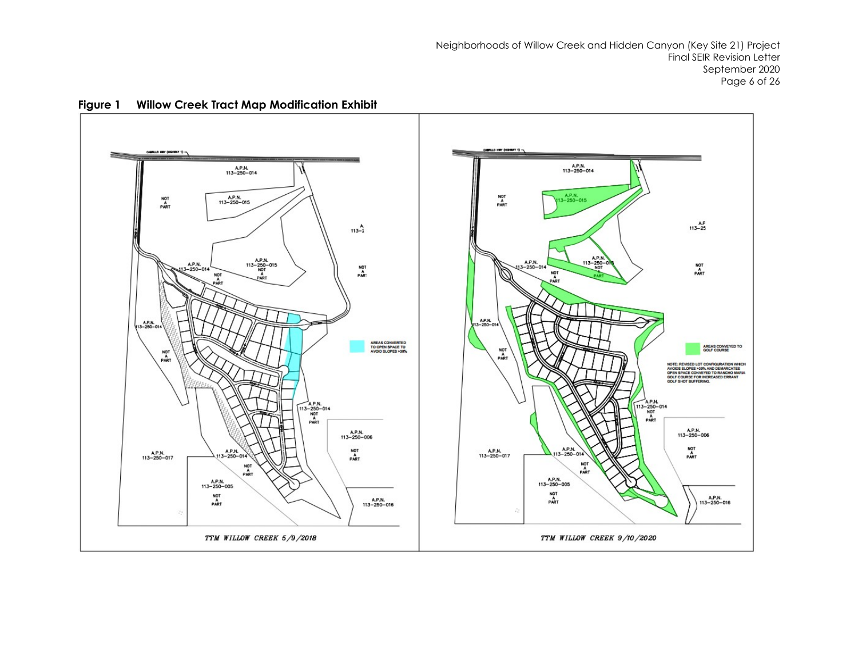Neighborhoods of Willow Creek and Hidden Canyon (Key Site 21) Project Final SEIR Revision Letter September 2020 Page 6 of 26

<span id="page-6-0"></span>

**Figure 1 Willow Creek Tract Map Modification Exhibit**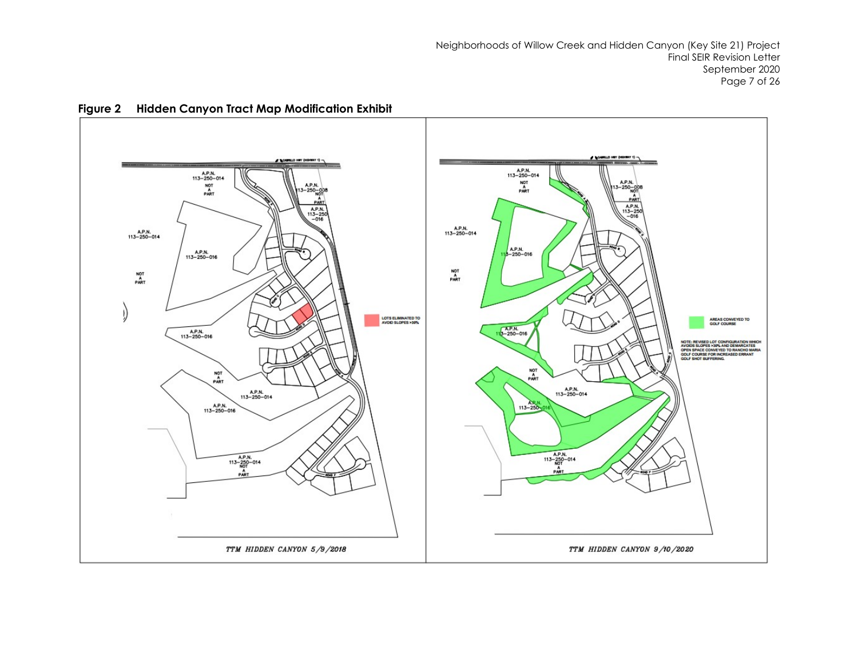Neighborhoods of Willow Creek and Hidden Canyon (Key Site 21) Project Final SEIR Revision Letter September 2020 Page 7 of 26

<span id="page-7-0"></span>

**Figure 2 Hidden Canyon Tract Map Modification Exhibit**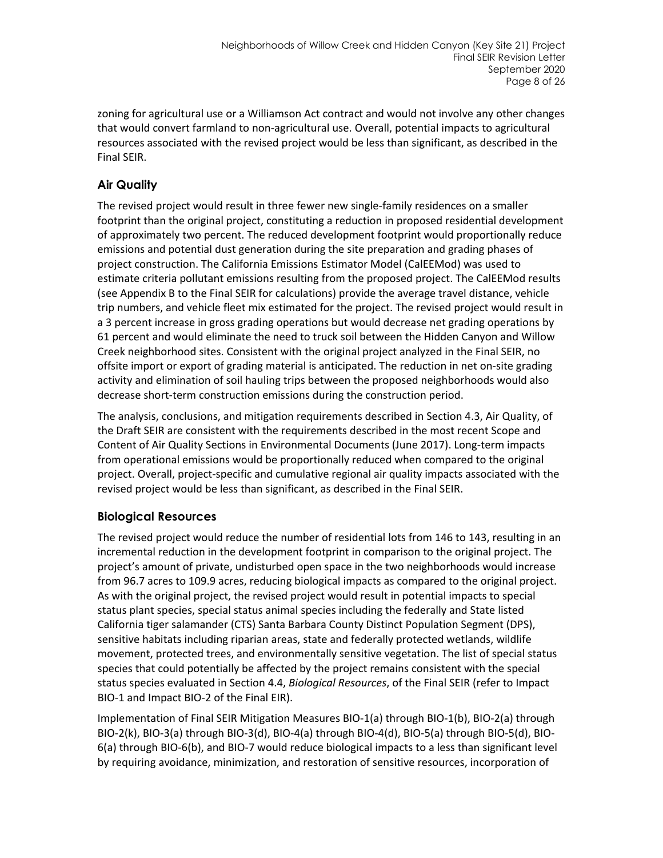zoning for agricultural use or a Williamson Act contract and would not involve any other changes that would convert farmland to non-agricultural use. Overall, potential impacts to agricultural resources associated with the revised project would be less than significant, as described in the Final SEIR.

### **Air Quality**

The revised project would result in three fewer new single-family residences on a smaller footprint than the original project, constituting a reduction in proposed residential development of approximately two percent. The reduced development footprint would proportionally reduce emissions and potential dust generation during the site preparation and grading phases of project construction. The California Emissions Estimator Model (CalEEMod) was used to estimate criteria pollutant emissions resulting from the proposed project. The CalEEMod results (see Appendix B to the Final SEIR for calculations) provide the average travel distance, vehicle trip numbers, and vehicle fleet mix estimated for the project. The revised project would result in a 3 percent increase in gross grading operations but would decrease net grading operations by 61 percent and would eliminate the need to truck soil between the Hidden Canyon and Willow Creek neighborhood sites. Consistent with the original project analyzed in the Final SEIR, no offsite import or export of grading material is anticipated. The reduction in net on-site grading activity and elimination of soil hauling trips between the proposed neighborhoods would also decrease short-term construction emissions during the construction period.

The analysis, conclusions, and mitigation requirements described in Section 4.3, Air Quality, of the Draft SEIR are consistent with the requirements described in the most recent Scope and Content of Air Quality Sections in Environmental Documents (June 2017). Long-term impacts from operational emissions would be proportionally reduced when compared to the original project. Overall, project-specific and cumulative regional air quality impacts associated with the revised project would be less than significant, as described in the Final SEIR.

### **Biological Resources**

The revised project would reduce the number of residential lots from 146 to 143, resulting in an incremental reduction in the development footprint in comparison to the original project. The project's amount of private, undisturbed open space in the two neighborhoods would increase from 96.7 acres to 109.9 acres, reducing biological impacts as compared to the original project. As with the original project, the revised project would result in potential impacts to special status plant species, special status animal species including the federally and State listed California tiger salamander (CTS) Santa Barbara County Distinct Population Segment (DPS), sensitive habitats including riparian areas, state and federally protected wetlands, wildlife movement, protected trees, and environmentally sensitive vegetation. The list of special status species that could potentially be affected by the project remains consistent with the special status species evaluated in Section 4.4, *Biological Resources*, of the Final SEIR (refer to Impact BIO-1 and Impact BIO-2 of the Final EIR).

Implementation of Final SEIR Mitigation Measures BIO-1(a) through BIO-1(b), BIO-2(a) through BIO-2(k), BIO-3(a) through BIO-3(d), BIO-4(a) through BIO-4(d), BIO-5(a) through BIO-5(d), BIO-6(a) through BIO-6(b), and BIO-7 would reduce biological impacts to a less than significant level by requiring avoidance, minimization, and restoration of sensitive resources, incorporation of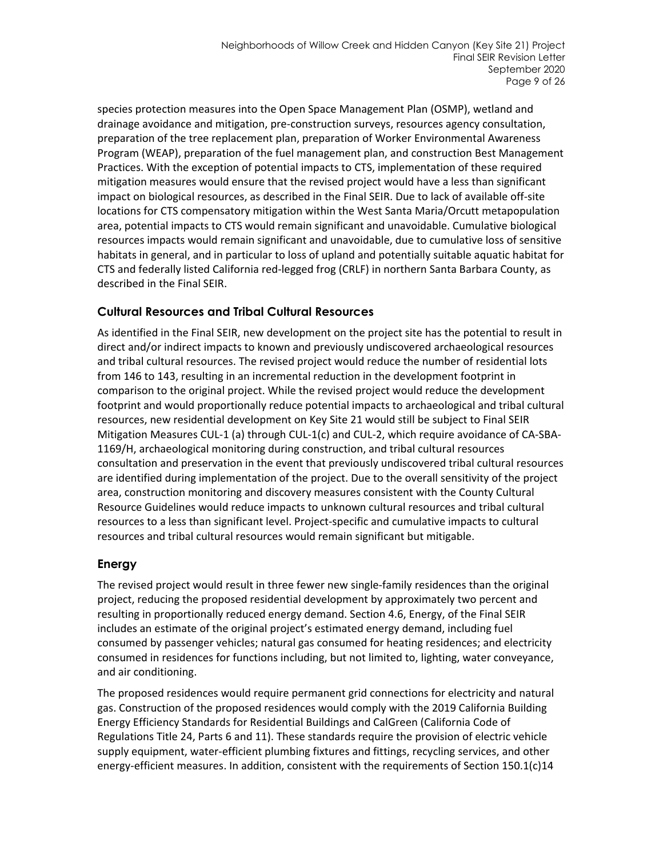species protection measures into the Open Space Management Plan (OSMP), wetland and drainage avoidance and mitigation, pre-construction surveys, resources agency consultation, preparation of the tree replacement plan, preparation of Worker Environmental Awareness Program (WEAP), preparation of the fuel management plan, and construction Best Management Practices. With the exception of potential impacts to CTS, implementation of these required mitigation measures would ensure that the revised project would have a less than significant impact on biological resources, as described in the Final SEIR. Due to lack of available off-site locations for CTS compensatory mitigation within the West Santa Maria/Orcutt metapopulation area, potential impacts to CTS would remain significant and unavoidable. Cumulative biological resources impacts would remain significant and unavoidable, due to cumulative loss of sensitive habitats in general, and in particular to loss of upland and potentially suitable aquatic habitat for CTS and federally listed California red-legged frog (CRLF) in northern Santa Barbara County, as described in the Final SEIR.

### **Cultural Resources and Tribal Cultural Resources**

As identified in the Final SEIR, new development on the project site has the potential to result in direct and/or indirect impacts to known and previously undiscovered archaeological resources and tribal cultural resources. The revised project would reduce the number of residential lots from 146 to 143, resulting in an incremental reduction in the development footprint in comparison to the original project. While the revised project would reduce the development footprint and would proportionally reduce potential impacts to archaeological and tribal cultural resources, new residential development on Key Site 21 would still be subject to Final SEIR Mitigation Measures CUL-1 (a) through CUL-1(c) and CUL-2, which require avoidance of CA-SBA-1169/H, archaeological monitoring during construction, and tribal cultural resources consultation and preservation in the event that previously undiscovered tribal cultural resources are identified during implementation of the project. Due to the overall sensitivity of the project area, construction monitoring and discovery measures consistent with the County Cultural Resource Guidelines would reduce impacts to unknown cultural resources and tribal cultural resources to a less than significant level. Project-specific and cumulative impacts to cultural resources and tribal cultural resources would remain significant but mitigable.

### **Energy**

The revised project would result in three fewer new single-family residences than the original project, reducing the proposed residential development by approximately two percent and resulting in proportionally reduced energy demand. Section 4.6, Energy, of the Final SEIR includes an estimate of the original project's estimated energy demand, including fuel consumed by passenger vehicles; natural gas consumed for heating residences; and electricity consumed in residences for functions including, but not limited to, lighting, water conveyance, and air conditioning.

The proposed residences would require permanent grid connections for electricity and natural gas. Construction of the proposed residences would comply with the 2019 California Building Energy Efficiency Standards for Residential Buildings and CalGreen (California Code of Regulations Title 24, Parts 6 and 11). These standards require the provision of electric vehicle supply equipment, water-efficient plumbing fixtures and fittings, recycling services, and other energy-efficient measures. In addition, consistent with the requirements of Section 150.1(c)14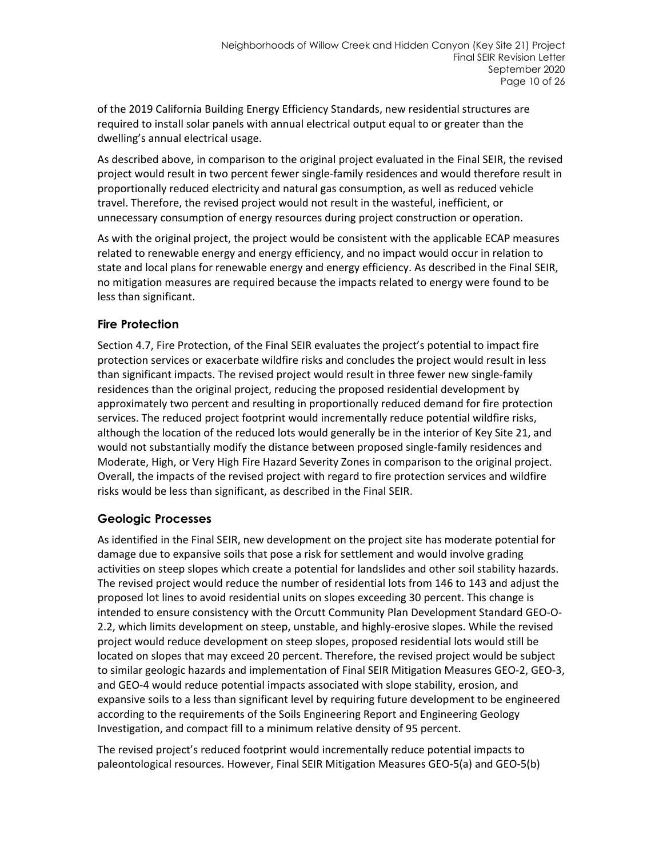of the 2019 California Building Energy Efficiency Standards, new residential structures are required to install solar panels with annual electrical output equal to or greater than the dwelling's annual electrical usage.

As described above, in comparison to the original project evaluated in the Final SEIR, the revised project would result in two percent fewer single-family residences and would therefore result in proportionally reduced electricity and natural gas consumption, as well as reduced vehicle travel. Therefore, the revised project would not result in the wasteful, inefficient, or unnecessary consumption of energy resources during project construction or operation.

As with the original project, the project would be consistent with the applicable ECAP measures related to renewable energy and energy efficiency, and no impact would occur in relation to state and local plans for renewable energy and energy efficiency. As described in the Final SEIR, no mitigation measures are required because the impacts related to energy were found to be less than significant.

### **Fire Protection**

Section 4.7, Fire Protection, of the Final SEIR evaluates the project's potential to impact fire protection services or exacerbate wildfire risks and concludes the project would result in less than significant impacts. The revised project would result in three fewer new single-family residences than the original project, reducing the proposed residential development by approximately two percent and resulting in proportionally reduced demand for fire protection services. The reduced project footprint would incrementally reduce potential wildfire risks, although the location of the reduced lots would generally be in the interior of Key Site 21, and would not substantially modify the distance between proposed single-family residences and Moderate, High, or Very High Fire Hazard Severity Zones in comparison to the original project. Overall, the impacts of the revised project with regard to fire protection services and wildfire risks would be less than significant, as described in the Final SEIR.

#### **Geologic Processes**

As identified in the Final SEIR, new development on the project site has moderate potential for damage due to expansive soils that pose a risk for settlement and would involve grading activities on steep slopes which create a potential for landslides and other soil stability hazards. The revised project would reduce the number of residential lots from 146 to 143 and adjust the proposed lot lines to avoid residential units on slopes exceeding 30 percent. This change is intended to ensure consistency with the Orcutt Community Plan Development Standard GEO-O-2.2, which limits development on steep, unstable, and highly-erosive slopes. While the revised project would reduce development on steep slopes, proposed residential lots would still be located on slopes that may exceed 20 percent. Therefore, the revised project would be subject to similar geologic hazards and implementation of Final SEIR Mitigation Measures GEO-2, GEO-3, and GEO-4 would reduce potential impacts associated with slope stability, erosion, and expansive soils to a less than significant level by requiring future development to be engineered according to the requirements of the Soils Engineering Report and Engineering Geology Investigation, and compact fill to a minimum relative density of 95 percent.

The revised project's reduced footprint would incrementally reduce potential impacts to paleontological resources. However, Final SEIR Mitigation Measures GEO-5(a) and GEO-5(b)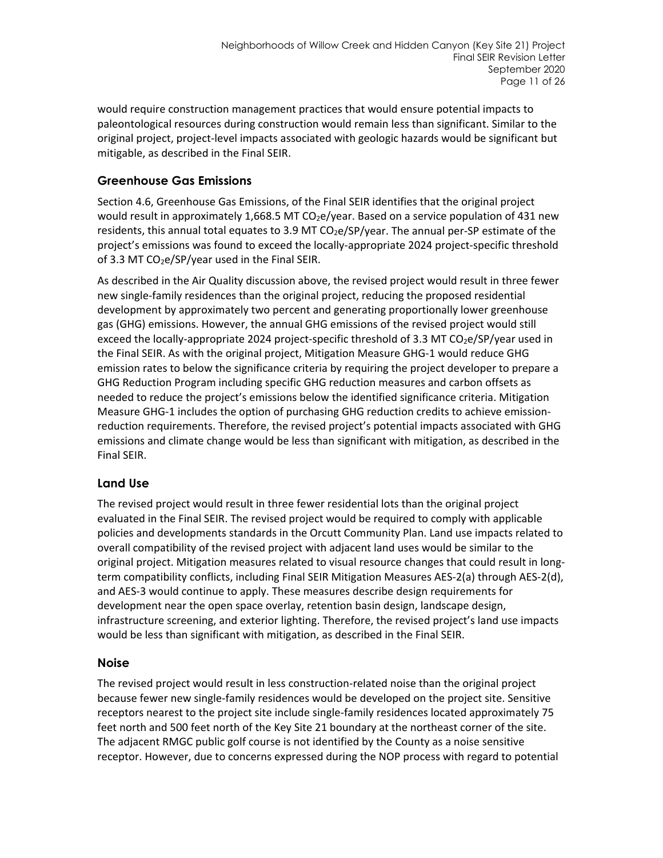would require construction management practices that would ensure potential impacts to paleontological resources during construction would remain less than significant. Similar to the original project, project-level impacts associated with geologic hazards would be significant but mitigable, as described in the Final SEIR.

### **Greenhouse Gas Emissions**

Section 4.6, Greenhouse Gas Emissions, of the Final SEIR identifies that the original project would result in approximately 1,668.5 MT  $CO<sub>2</sub>e$ /year. Based on a service population of 431 newresidents, this annual total equates to 3.9 MT CO<sub>2</sub>e/SP/year. The annual per-SP estimate of the project's emissions was found to exceed the locally-appropriate 2024 project-specific threshold of 3.3 MT  $CO<sub>2</sub>e/SP/year$  used in the Final SEIR.

As described in the Air Quality discussion above, the revised project would result in three fewer new single-family residences than the original project, reducing the proposed residential development by approximately two percent and generating proportionally lower greenhouse gas (GHG) emissions. However, the annual GHG emissions of the revised project would still exceed the locally-appropriate 2024 project-specific threshold of 3.3 MT CO<sub>2</sub>e/SP/year used in the Final SEIR. As with the original project, Mitigation Measure GHG-1 would reduce GHG emission rates to below the significance criteria by requiring the project developer to prepare a GHG Reduction Program including specific GHG reduction measures and carbon offsets as needed to reduce the project's emissions below the identified significance criteria. Mitigation Measure GHG-1 includes the option of purchasing GHG reduction credits to achieve emissionreduction requirements. Therefore, the revised project's potential impacts associated with GHG emissions and climate change would be less than significant with mitigation, as described in the Final SEIR.

### **Land Use**

The revised project would result in three fewer residential lots than the original project evaluated in the Final SEIR. The revised project would be required to comply with applicable policies and developments standards in the Orcutt Community Plan. Land use impacts related to overall compatibility of the revised project with adjacent land uses would be similar to the original project. Mitigation measures related to visual resource changes that could result in longterm compatibility conflicts, including Final SEIR Mitigation Measures AES-2(a) through AES-2(d), and AES-3 would continue to apply. These measures describe design requirements for development near the open space overlay, retention basin design, landscape design, infrastructure screening, and exterior lighting. Therefore, the revised project's land use impacts would be less than significant with mitigation, as described in the Final SEIR.

### **Noise**

The revised project would result in less construction-related noise than the original project because fewer new single-family residences would be developed on the project site. Sensitive receptors nearest to the project site include single-family residences located approximately 75 feet north and 500 feet north of the Key Site 21 boundary at the northeast corner of the site. The adjacent RMGC public golf course is not identified by the County as a noise sensitive receptor. However, due to concerns expressed during the NOP process with regard to potential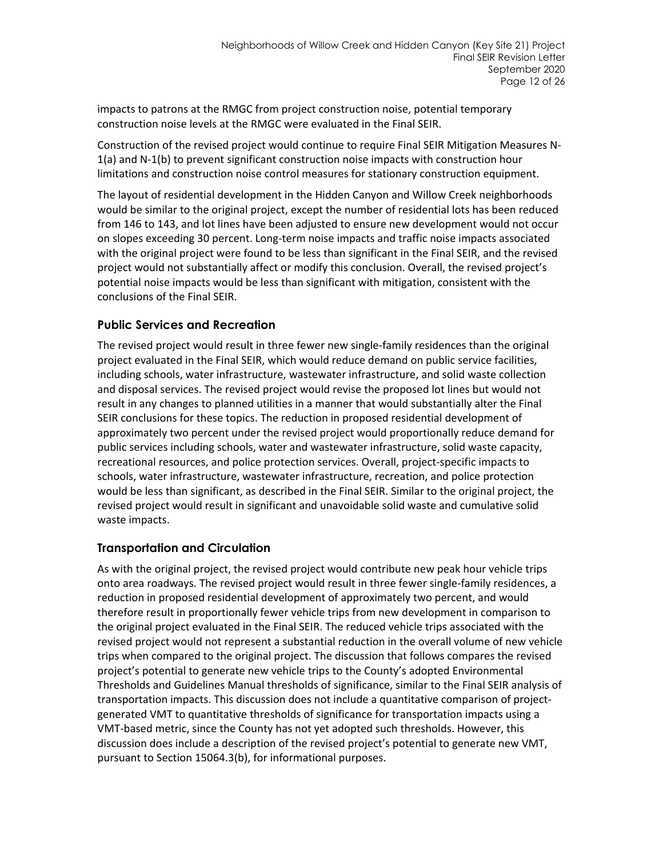impacts to patrons at the RMGC from project construction noise, potential temporary construction noise levels at the RMGC were evaluated in the Final SEIR.

Construction of the revised project would continue to require Final SEIR Mitigation Measures N-1(a) and N-1(b) to prevent significant construction noise impacts with construction hour limitations and construction noise control measures for stationary construction equipment.

The layout of residential development in the Hidden Canyon and Willow Creek neighborhoods would be similar to the original project, except the number of residential lots has been reduced from 146 to 143, and lot lines have been adjusted to ensure new development would not occur on slopes exceeding 30 percent. Long-term noise impacts and traffic noise impacts associated with the original project were found to be less than significant in the Final SEIR, and the revised project would not substantially affect or modify this conclusion. Overall, the revised project's potential noise impacts would be less than significant with mitigation, consistent with the conclusions of the Final SEIR.

### **Public Services and Recreation**

The revised project would result in three fewer new single-family residences than the original project evaluated in the Final SEIR, which would reduce demand on public service facilities, including schools, water infrastructure, wastewater infrastructure, and solid waste collection and disposal services. The revised project would revise the proposed lot lines but would not result in any changes to planned utilities in a manner that would substantially alter the Final SEIR conclusions for these topics. The reduction in proposed residential development of approximately two percent under the revised project would proportionally reduce demand for public services including schools, water and wastewater infrastructure, solid waste capacity, recreational resources, and police protection services. Overall, project-specific impacts to schools, water infrastructure, wastewater infrastructure, recreation, and police protection would be less than significant, as described in the Final SEIR. Similar to the original project, the revised project would result in significant and unavoidable solid waste and cumulative solid waste impacts.

#### **Transportation and Circulation**

As with the original project, the revised project would contribute new peak hour vehicle trips onto area roadways. The revised project would result in three fewer single-family residences, a reduction in proposed residential development of approximately two percent, and would therefore result in proportionally fewer vehicle trips from new development in comparison to the original project evaluated in the Final SEIR. The reduced vehicle trips associated with the revised project would not represent a substantial reduction in the overall volume of new vehicle trips when compared to the original project. The discussion that follows compares the revised project's potential to generate new vehicle trips to the County's adopted Environmental Thresholds and Guidelines Manual thresholds of significance, similar to the Final SEIR analysis of transportation impacts. This discussion does not include a quantitative comparison of projectgenerated VMT to quantitative thresholds of significance for transportation impacts using a VMT-based metric, since the County has not yet adopted such thresholds. However, this discussion does include a description of the revised project's potential to generate new VMT, pursuant to Section 15064.3(b), for informational purposes.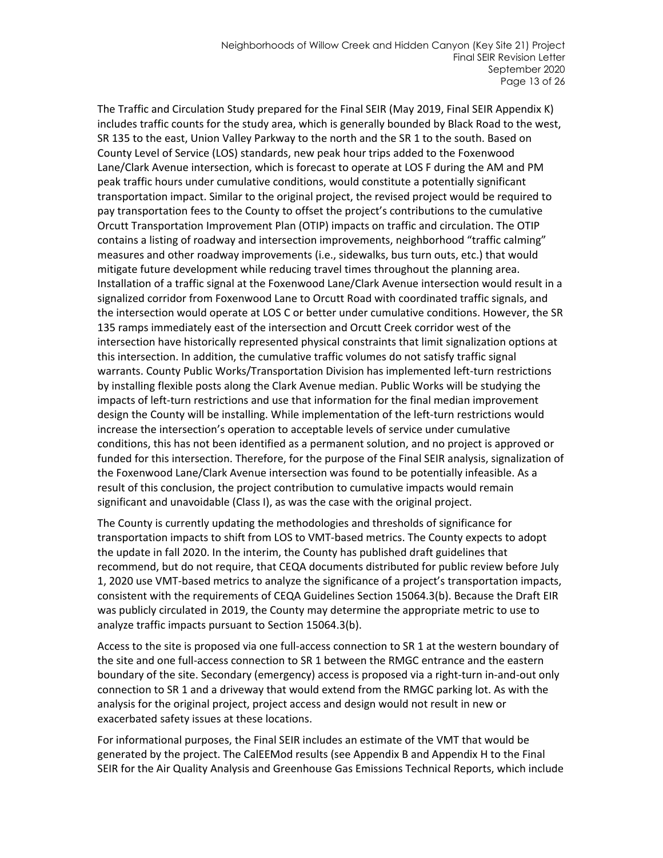The Traffic and Circulation Study prepared for the Final SEIR (May 2019, Final SEIR Appendix K) includes traffic counts for the study area, which is generally bounded by Black Road to the west, SR 135 to the east, Union Valley Parkway to the north and the SR 1 to the south. Based on County Level of Service (LOS) standards, new peak hour trips added to the Foxenwood Lane/Clark Avenue intersection, which is forecast to operate at LOS F during the AM and PM peak traffic hours under cumulative conditions, would constitute a potentially significant transportation impact. Similar to the original project, the revised project would be required to pay transportation fees to the County to offset the project's contributions to the cumulative Orcutt Transportation Improvement Plan (OTIP) impacts on traffic and circulation. The OTIP contains a listing of roadway and intersection improvements, neighborhood "traffic calming" measures and other roadway improvements (i.e., sidewalks, bus turn outs, etc.) that would mitigate future development while reducing travel times throughout the planning area. Installation of a traffic signal at the Foxenwood Lane/Clark Avenue intersection would result in a signalized corridor from Foxenwood Lane to Orcutt Road with coordinated traffic signals, and the intersection would operate at LOS C or better under cumulative conditions. However, the SR 135 ramps immediately east of the intersection and Orcutt Creek corridor west of the intersection have historically represented physical constraints that limit signalization options at this intersection. In addition, the cumulative traffic volumes do not satisfy traffic signal warrants. County Public Works/Transportation Division has implemented left-turn restrictions by installing flexible posts along the Clark Avenue median. Public Works will be studying the impacts of left-turn restrictions and use that information for the final median improvement design the County will be installing. While implementation of the left-turn restrictions would increase the intersection's operation to acceptable levels of service under cumulative conditions, this has not been identified as a permanent solution, and no project is approved or funded for this intersection. Therefore, for the purpose of the Final SEIR analysis, signalization of the Foxenwood Lane/Clark Avenue intersection was found to be potentially infeasible. As a result of this conclusion, the project contribution to cumulative impacts would remain significant and unavoidable (Class I), as was the case with the original project.

The County is currently updating the methodologies and thresholds of significance for transportation impacts to shift from LOS to VMT-based metrics. The County expects to adopt the update in fall 2020. In the interim, the County has published draft guidelines that recommend, but do not require, that CEQA documents distributed for public review before July 1, 2020 use VMT-based metrics to analyze the significance of a project's transportation impacts, consistent with the requirements of CEQA Guidelines Section 15064.3(b). Because the Draft EIR was publicly circulated in 2019, the County may determine the appropriate metric to use to analyze traffic impacts pursuant to Section 15064.3(b).

Access to the site is proposed via one full-access connection to SR 1 at the western boundary of the site and one full-access connection to SR 1 between the RMGC entrance and the eastern boundary of the site. Secondary (emergency) access is proposed via a right-turn in-and-out only connection to SR 1 and a driveway that would extend from the RMGC parking lot. As with the analysis for the original project, project access and design would not result in new or exacerbated safety issues at these locations.

For informational purposes, the Final SEIR includes an estimate of the VMT that would be generated by the project. The CalEEMod results (see Appendix B and Appendix H to the Final SEIR for the Air Quality Analysis and Greenhouse Gas Emissions Technical Reports, which include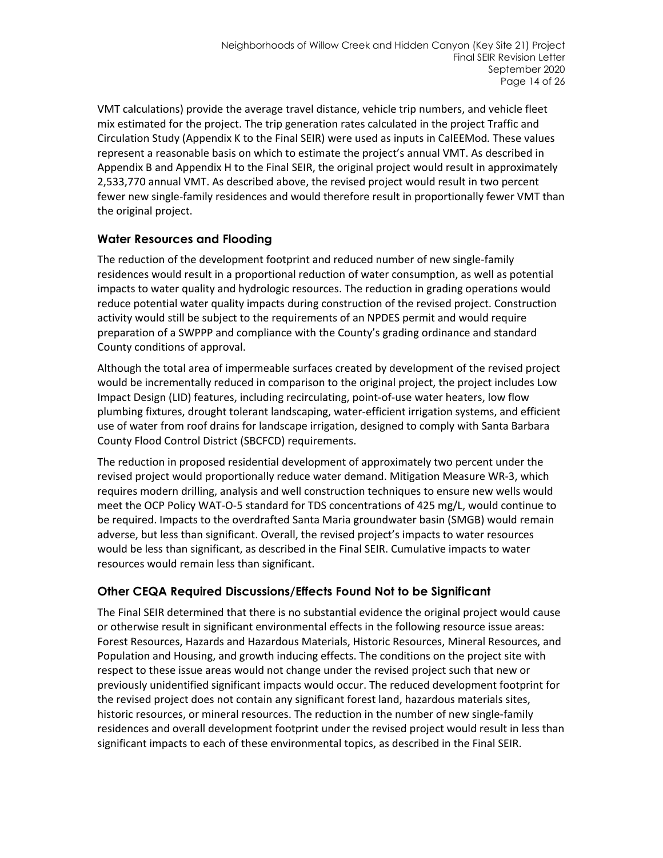VMT calculations) provide the average travel distance, vehicle trip numbers, and vehicle fleet mix estimated for the project. The trip generation rates calculated in the project Traffic and Circulation Study (Appendix K to the Final SEIR) were used as inputs in CalEEMod*.* These values represent a reasonable basis on which to estimate the project's annual VMT. As described in Appendix B and Appendix H to the Final SEIR, the original project would result in approximately 2,533,770 annual VMT. As described above, the revised project would result in two percent fewer new single-family residences and would therefore result in proportionally fewer VMT than the original project.

### **Water Resources and Flooding**

The reduction of the development footprint and reduced number of new single-family residences would result in a proportional reduction of water consumption, as well as potential impacts to water quality and hydrologic resources. The reduction in grading operations would reduce potential water quality impacts during construction of the revised project. Construction activity would still be subject to the requirements of an NPDES permit and would require preparation of a SWPPP and compliance with the County's grading ordinance and standard County conditions of approval.

Although the total area of impermeable surfaces created by development of the revised project would be incrementally reduced in comparison to the original project, the project includes Low Impact Design (LID) features, including recirculating, point-of-use water heaters, low flow plumbing fixtures, drought tolerant landscaping, water-efficient irrigation systems, and efficient use of water from roof drains for landscape irrigation, designed to comply with Santa Barbara County Flood Control District (SBCFCD) requirements.

The reduction in proposed residential development of approximately two percent under the revised project would proportionally reduce water demand. Mitigation Measure WR-3, which requires modern drilling, analysis and well construction techniques to ensure new wells would meet the OCP Policy WAT-O-5 standard for TDS concentrations of 425 mg/L, would continue to be required. Impacts to the overdrafted Santa Maria groundwater basin (SMGB) would remain adverse, but less than significant. Overall, the revised project's impacts to water resources would be less than significant, as described in the Final SEIR. Cumulative impacts to water resources would remain less than significant.

### **Other CEQA Required Discussions/Effects Found Not to be Significant**

The Final SEIR determined that there is no substantial evidence the original project would cause or otherwise result in significant environmental effects in the following resource issue areas: Forest Resources, Hazards and Hazardous Materials, Historic Resources, Mineral Resources, and Population and Housing, and growth inducing effects. The conditions on the project site with respect to these issue areas would not change under the revised project such that new or previously unidentified significant impacts would occur. The reduced development footprint for the revised project does not contain any significant forest land, hazardous materials sites, historic resources, or mineral resources. The reduction in the number of new single-family residences and overall development footprint under the revised project would result in less than significant impacts to each of these environmental topics, as described in the Final SEIR.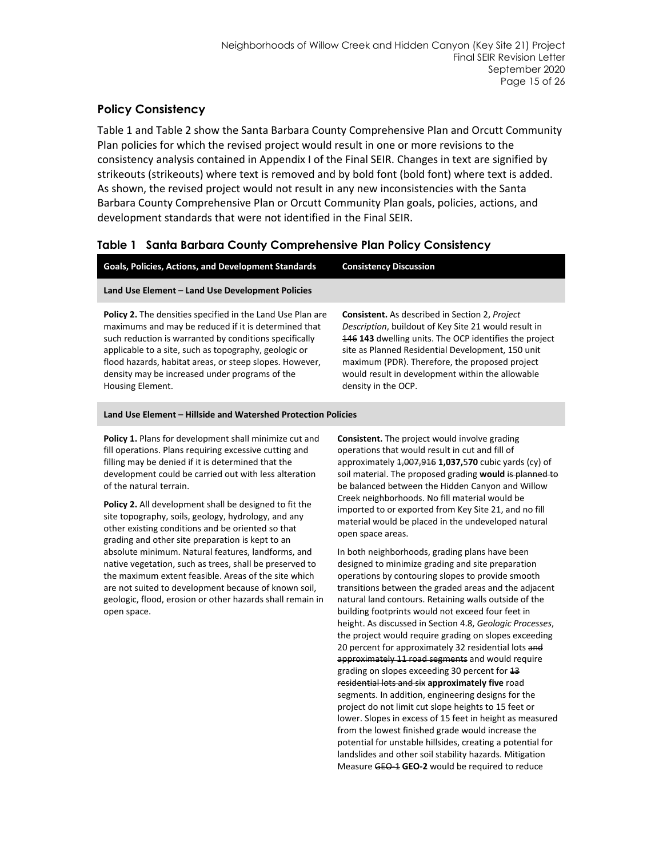#### **Policy Consistency**

[Table 1](#page-15-0) and [Table](#page-18-0) 2 show the Santa Barbara County Comprehensive Plan and Orcutt Community Plan policies for which the revised project would result in one or more revisions to the consistency analysis contained in Appendix I of the Final SEIR. Changes in text are signified by strikeouts (strikeouts) where text is removed and by bold font (bold font) where text is added. As shown, the revised project would not result in any new inconsistencies with the Santa Barbara County Comprehensive Plan or Orcutt Community Plan goals, policies, actions, and development standards that were not identified in the Final SEIR.

#### <span id="page-15-0"></span>**Table 1 Santa Barbara County Comprehensive Plan Policy Consistency**

| Land Use Element - Land Use Development Policies<br><b>Policy 2.</b> The densities specified in the Land Use Plan are<br><b>Consistent.</b> As described in Section 2, Project<br>Description, buildout of Key Site 21 would result in<br>maximums and may be reduced if it is determined that                                                                                                                                                                                               |  |
|----------------------------------------------------------------------------------------------------------------------------------------------------------------------------------------------------------------------------------------------------------------------------------------------------------------------------------------------------------------------------------------------------------------------------------------------------------------------------------------------|--|
|                                                                                                                                                                                                                                                                                                                                                                                                                                                                                              |  |
| such reduction is warranted by conditions specifically<br>146 143 dwelling units. The OCP identifies the project<br>applicable to a site, such as topography, geologic or<br>site as Planned Residential Development, 150 unit<br>maximum (PDR). Therefore, the proposed project<br>flood hazards, habitat areas, or steep slopes. However,<br>density may be increased under programs of the<br>would result in development within the allowable<br>Housing Element.<br>density in the OCP. |  |

#### **Land Use Element – Hillside and Watershed Protection Policies**

**Policy 1.** Plans for development shall minimize cut and fill operations. Plans requiring excessive cutting and filling may be denied if it is determined that the development could be carried out with less alteration of the natural terrain.

**Policy 2.** All development shall be designed to fit the site topography, soils, geology, hydrology, and any other existing conditions and be oriented so that grading and other site preparation is kept to an absolute minimum. Natural features, landforms, and native vegetation, such as trees, shall be preserved to the maximum extent feasible. Areas of the site which are not suited to development because of known soil, geologic, flood, erosion or other hazards shall remain in open space.

**Consistent.** The project would involve grading operations that would result in cut and fill of approximately 1,007,916 **1,037,**5**70** cubic yards (cy) of soil material. The proposed grading **would** is planned to be balanced between the Hidden Canyon and Willow Creek neighborhoods. No fill material would be imported to or exported from Key Site 21, and no fill material would be placed in the undeveloped natural open space areas.

In both neighborhoods, grading plans have been designed to minimize grading and site preparation operations by contouring slopes to provide smooth transitions between the graded areas and the adjacent natural land contours. Retaining walls outside of the building footprints would not exceed four feet in height. As discussed in Section 4.8, *Geologic Processes*, the project would require grading on slopes exceeding 20 percent for approximately 32 residential lots and approximately 11 road segments and would require grading on slopes exceeding 30 percent for 13 residential lots and six **approximately five** road segments. In addition, engineering designs for the project do not limit cut slope heights to 15 feet or lower. Slopes in excess of 15 feet in height as measured from the lowest finished grade would increase the potential for unstable hillsides, creating a potential for landslides and other soil stability hazards. Mitigation Measure GEO-1 **GEO-2** would be required to reduce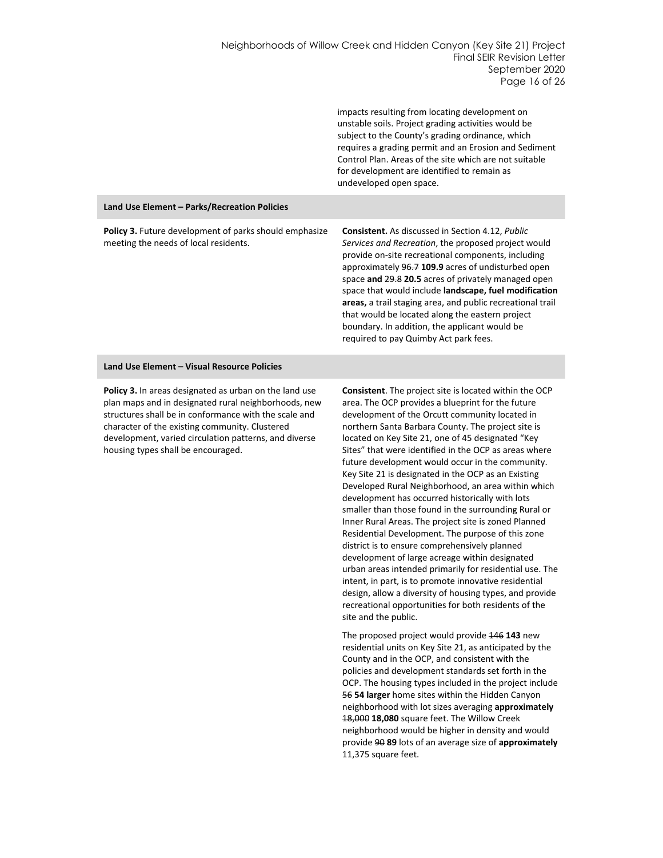|                                                                                                 | impacts resulting from locating development on<br>unstable soils. Project grading activities would be<br>subject to the County's grading ordinance, which<br>requires a grading permit and an Erosion and Sediment<br>Control Plan. Areas of the site which are not suitable<br>for development are identified to remain as<br>undeveloped open space.                                                                                                                                                                                                |
|-------------------------------------------------------------------------------------------------|-------------------------------------------------------------------------------------------------------------------------------------------------------------------------------------------------------------------------------------------------------------------------------------------------------------------------------------------------------------------------------------------------------------------------------------------------------------------------------------------------------------------------------------------------------|
| Land Use Element - Parks/Recreation Policies                                                    |                                                                                                                                                                                                                                                                                                                                                                                                                                                                                                                                                       |
| Policy 3. Future development of parks should emphasize<br>meeting the needs of local residents. | <b>Consistent.</b> As discussed in Section 4.12, Public<br>Services and Recreation, the proposed project would<br>provide on-site recreational components, including<br>approximately 96.7 109.9 acres of undisturbed open<br>space and 29.8 20.5 acres of privately managed open<br>space that would include landscape, fuel modification<br>areas, a trail staging area, and public recreational trail<br>that would be located along the eastern project<br>boundary. In addition, the applicant would be<br>required to pay Quimby Act park fees. |

#### **Land Use Element – Visual Resource Policies**

**Policy 3.** In areas designated as urban on the land use plan maps and in designated rural neighborhoods, new structures shall be in conformance with the scale and character of the existing community. Clustered development, varied circulation patterns, and diverse housing types shall be encouraged.

**Consistent**. The project site is located within the OCP area. The OCP provides a blueprint for the future development of the Orcutt community located in northern Santa Barbara County. The project site is located on Key Site 21, one of 45 designated "Key Sites" that were identified in the OCP as areas where future development would occur in the community. Key Site 21 is designated in the OCP as an Existing Developed Rural Neighborhood, an area within which development has occurred historically with lots smaller than those found in the surrounding Rural or Inner Rural Areas. The project site is zoned Planned Residential Development. The purpose of this zone district is to ensure comprehensively planned development of large acreage within designated urban areas intended primarily for residential use. The intent, in part, is to promote innovative residential design, allow a diversity of housing types, and provide recreational opportunities for both residents of the site and the public.

The proposed project would provide 146 **143** new residential units on Key Site 21, as anticipated by the County and in the OCP, and consistent with the policies and development standards set forth in the OCP. The housing types included in the project include 56 **54 larger** home sites within the Hidden Canyon neighborhood with lot sizes averaging **approximately** 18,000 **18,080** square feet. The Willow Creek neighborhood would be higher in density and would provide 90 **89** lots of an average size of **approximately** 11,375 square feet.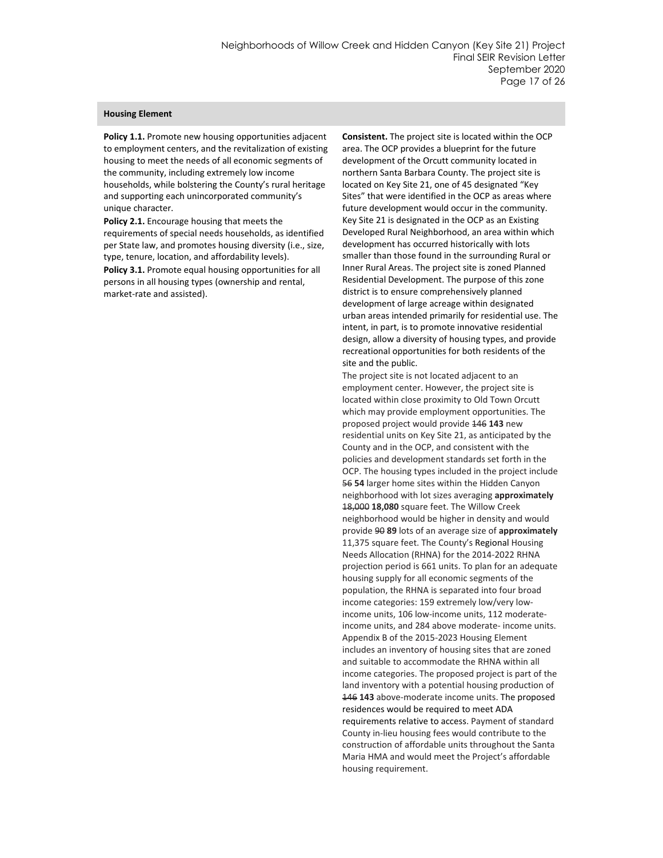#### **Housing Element**

**Policy 1.1.** Promote new housing opportunities adjacent to employment centers, and the revitalization of existing housing to meet the needs of all economic segments of the community, including extremely low income households, while bolstering the County's rural heritage and supporting each unincorporated community's unique character.

**Policy 2.1.** Encourage housing that meets the requirements of special needs households, as identified per State law, and promotes housing diversity (i.e., size, type, tenure, location, and affordability levels).

**Policy 3.1.** Promote equal housing opportunities for all persons in all housing types (ownership and rental, market-rate and assisted).

**Consistent.** The project site is located within the OCP area. The OCP provides a blueprint for the future development of the Orcutt community located in northern Santa Barbara County. The project site is located on Key Site 21, one of 45 designated "Key Sites" that were identified in the OCP as areas where future development would occur in the community. Key Site 21 is designated in the OCP as an Existing Developed Rural Neighborhood, an area within which development has occurred historically with lots smaller than those found in the surrounding Rural or Inner Rural Areas. The project site is zoned Planned Residential Development. The purpose of this zone district is to ensure comprehensively planned development of large acreage within designated urban areas intended primarily for residential use. The intent, in part, is to promote innovative residential design, allow a diversity of housing types, and provide recreational opportunities for both residents of the site and the public.

The project site is not located adjacent to an employment center. However, the project site is located within close proximity to Old Town Orcutt which may provide employment opportunities. The proposed project would provide 146 **143** new residential units on Key Site 21, as anticipated by the County and in the OCP, and consistent with the policies and development standards set forth in the OCP. The housing types included in the project include 56 **54** larger home sites within the Hidden Canyon neighborhood with lot sizes averaging **approximately** 18,000 **18,080** square feet. The Willow Creek neighborhood would be higher in density and would provide 90 **89** lots of an average size of **approximately** 11,375 square feet. The County's Regional Housing Needs Allocation (RHNA) for the 2014-2022 RHNA projection period is 661 units. To plan for an adequate housing supply for all economic segments of the population, the RHNA is separated into four broad income categories: 159 extremely low/very lowincome units, 106 low-income units, 112 moderateincome units, and 284 above moderate- income units. Appendix B of the 2015-2023 Housing Element includes an inventory of housing sites that are zoned and suitable to accommodate the RHNA within all income categories. The proposed project is part of the land inventory with a potential housing production of 146 **143** above-moderate income units. The proposed residences would be required to meet ADA requirements relative to access. Payment of standard County in-lieu housing fees would contribute to the construction of affordable units throughout the Santa Maria HMA and would meet the Project's affordable housing requirement.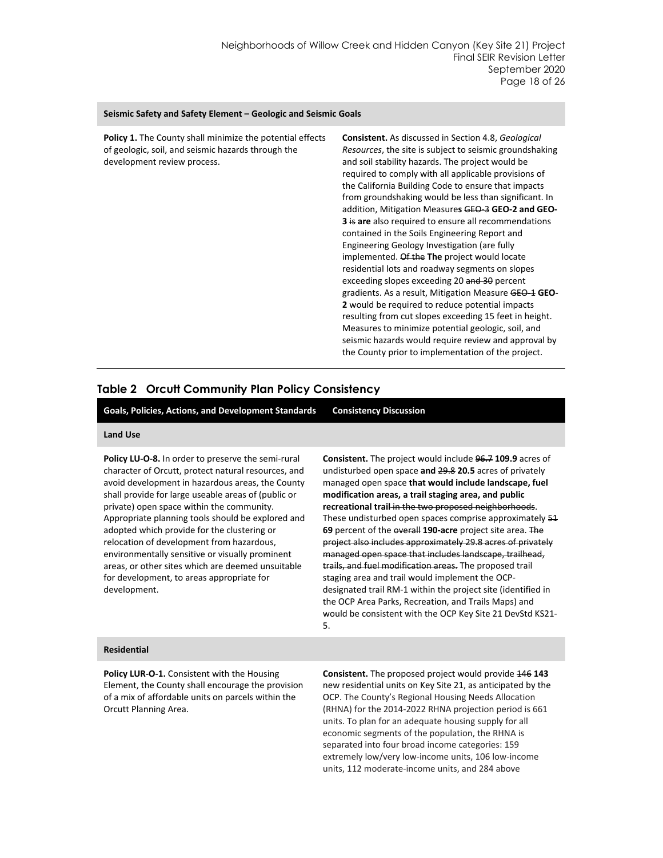#### **Seismic Safety and Safety Element – Geologic and Seismic Goals**

| <b>Policy 1.</b> The County shall minimize the potential effects<br>of geologic, soil, and seismic hazards through the<br>development review process. | <b>Consistent.</b> As discussed in Section 4.8, Geological<br><i>Resources</i> , the site is subject to seismic groundshaking<br>and soil stability hazards. The project would be<br>required to comply with all applicable provisions of<br>the California Building Code to ensure that impacts<br>from groundshaking would be less than significant. In<br>addition, Mitigation Measures GEO-3 GEO-2 and GEO-<br><b>3</b> is are also required to ensure all recommendations<br>contained in the Soils Engineering Report and<br>Engineering Geology Investigation (are fully<br>implemented. Of the The project would locate<br>residential lots and roadway segments on slopes<br>exceeding slopes exceeding 20 and 30 percent<br>gradients. As a result, Mitigation Measure GEO-1 GEO-<br>2 would be required to reduce potential impacts<br>resulting from cut slopes exceeding 15 feet in height.<br>Measures to minimize potential geologic, soil, and<br>seismic hazards would require review and approval by |
|-------------------------------------------------------------------------------------------------------------------------------------------------------|------------------------------------------------------------------------------------------------------------------------------------------------------------------------------------------------------------------------------------------------------------------------------------------------------------------------------------------------------------------------------------------------------------------------------------------------------------------------------------------------------------------------------------------------------------------------------------------------------------------------------------------------------------------------------------------------------------------------------------------------------------------------------------------------------------------------------------------------------------------------------------------------------------------------------------------------------------------------------------------------------------------------|
|                                                                                                                                                       | the County prior to implementation of the project.                                                                                                                                                                                                                                                                                                                                                                                                                                                                                                                                                                                                                                                                                                                                                                                                                                                                                                                                                                     |

#### <span id="page-18-0"></span>**Table 2 Orcutt Community Plan Policy Consistency**

**Goals, Policies, Actions, and Development Standards Consistency Discussion**

#### **Land Use**

**Policy LU-O-8.** In order to preserve the semi-rural character of Orcutt, protect natural resources, and avoid development in hazardous areas, the County shall provide for large useable areas of (public or private) open space within the community. Appropriate planning tools should be explored and adopted which provide for the clustering or relocation of development from hazardous, environmentally sensitive or visually prominent areas, or other sites which are deemed unsuitable for development, to areas appropriate for development.

**Consistent.** The project would include 96.7 **109.9** acres of undisturbed open space **and** 29.8 **20.5** acres of privately managed open space **that would include landscape, fuel modification areas, a trail staging area, and public recreational trail** in the two proposed neighborhoods. These undisturbed open spaces comprise approximately 51 **69** percent of the overall **190-acre** project site area. The project also includes approximately 29.8 acres of privately managed open space that includes landscape, trailhead, trails, and fuel modification areas. The proposed trail staging area and trail would implement the OCPdesignated trail RM-1 within the project site (identified in the OCP Area Parks, Recreation, and Trails Maps) and would be consistent with the OCP Key Site 21 DevStd KS21- 5.

#### **Residential**

**Policy LUR-O-1.** Consistent with the Housing Element, the County shall encourage the provision of a mix of affordable units on parcels within the Orcutt Planning Area.

**Consistent.** The proposed project would provide 146 **143** new residential units on Key Site 21, as anticipated by the OCP. The County's Regional Housing Needs Allocation (RHNA) for the 2014-2022 RHNA projection period is 661 units. To plan for an adequate housing supply for all economic segments of the population, the RHNA is separated into four broad income categories: 159 extremely low/very low-income units, 106 low-income units, 112 moderate-income units, and 284 above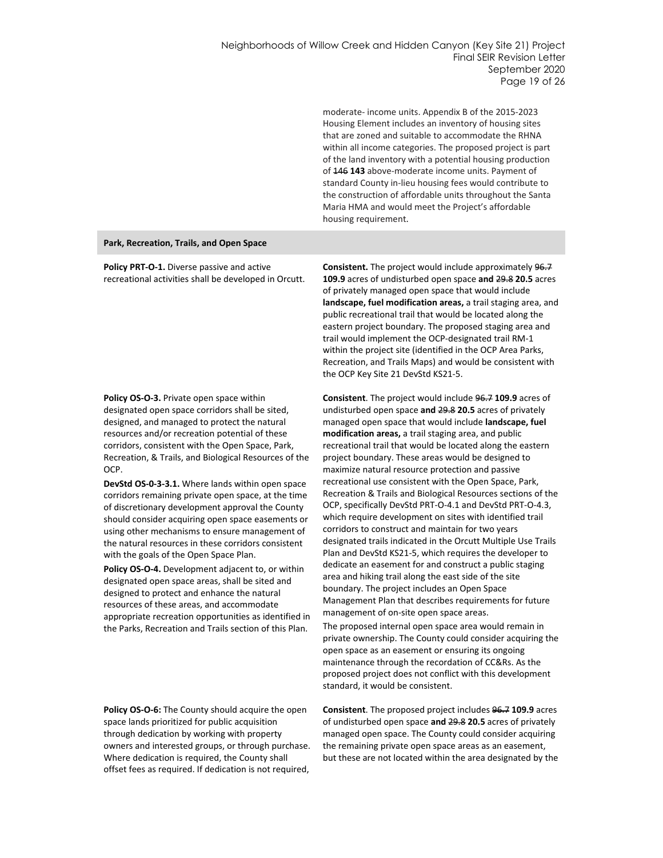moderate- income units. Appendix B of the 2015-2023 Housing Element includes an inventory of housing sites that are zoned and suitable to accommodate the RHNA within all income categories. The proposed project is part of the land inventory with a potential housing production of 146 **143** above-moderate income units. Payment of standard County in-lieu housing fees would contribute to the construction of affordable units throughout the Santa Maria HMA and would meet the Project's affordable housing requirement.

#### **Park, Recreation, Trails, and Open Space**

**Policy PRT-O-1.** Diverse passive and active recreational activities shall be developed in Orcutt.

**Policy OS-O-3.** Private open space within designated open space corridors shall be sited, designed, and managed to protect the natural resources and/or recreation potential of these corridors, consistent with the Open Space, Park, Recreation, & Trails, and Biological Resources of the OCP.

**DevStd OS-0-3-3.1.** Where lands within open space corridors remaining private open space, at the time of discretionary development approval the County should consider acquiring open space easements or using other mechanisms to ensure management of the natural resources in these corridors consistent with the goals of the Open Space Plan.

**Policy OS-O-4.** Development adjacent to, or within designated open space areas, shall be sited and designed to protect and enhance the natural resources of these areas, and accommodate appropriate recreation opportunities as identified in the Parks, Recreation and Trails section of this Plan.

**Policy OS-O-6:** The County should acquire the open space lands prioritized for public acquisition through dedication by working with property owners and interested groups, or through purchase. Where dedication is required, the County shall offset fees as required. If dedication is not required, **Consistent.** The project would include approximately 96.7 **109.9** acres of undisturbed open space **and** 29.8 **20.5** acres of privately managed open space that would include **landscape, fuel modification areas,** a trail staging area, and public recreational trail that would be located along the eastern project boundary. The proposed staging area and trail would implement the OCP-designated trail RM-1 within the project site (identified in the OCP Area Parks, Recreation, and Trails Maps) and would be consistent with the OCP Key Site 21 DevStd KS21-5.

**Consistent**. The project would include 96.7 **109.9** acres of undisturbed open space **and** 29.8 **20.5** acres of privately managed open space that would include **landscape, fuel modification areas,** a trail staging area, and public recreational trail that would be located along the eastern project boundary. These areas would be designed to maximize natural resource protection and passive recreational use consistent with the Open Space, Park, Recreation & Trails and Biological Resources sections of the OCP, specifically DevStd PRT-O-4.1 and DevStd PRT-O-4.3, which require development on sites with identified trail corridors to construct and maintain for two years designated trails indicated in the Orcutt Multiple Use Trails Plan and DevStd KS21-5, which requires the developer to dedicate an easement for and construct a public staging area and hiking trail along the east side of the site boundary. The project includes an Open Space Management Plan that describes requirements for future management of on-site open space areas.

The proposed internal open space area would remain in private ownership. The County could consider acquiring the open space as an easement or ensuring its ongoing maintenance through the recordation of CC&Rs. As the proposed project does not conflict with this development standard, it would be consistent.

**Consistent**. The proposed project includes 96.7 **109.9** acres of undisturbed open space **and** 29.8 **20.5** acres of privately managed open space. The County could consider acquiring the remaining private open space areas as an easement, but these are not located within the area designated by the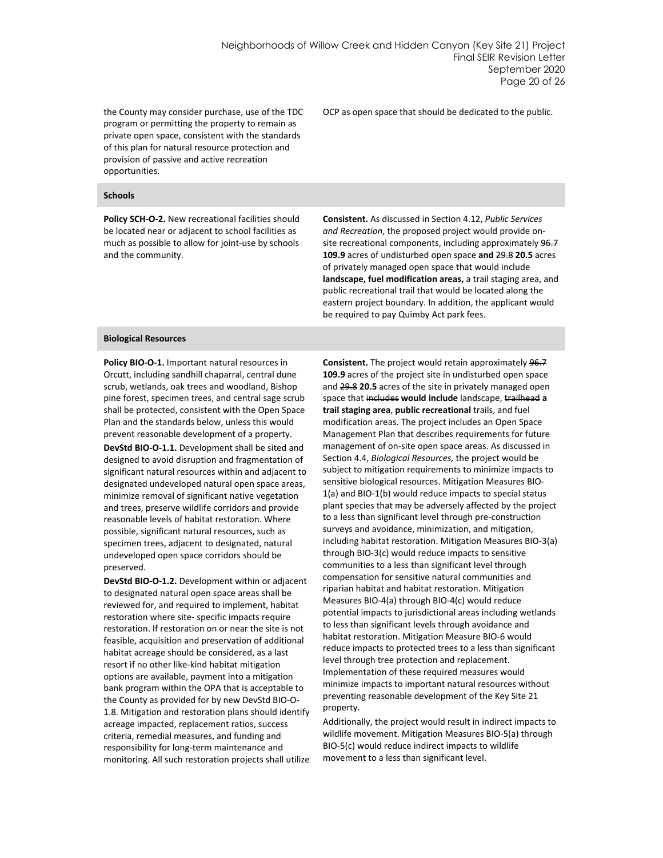the County may consider purchase, use of the TDC program or permitting the property to remain as private open space, consistent with the standards of this plan for natural resource protection and provision of passive and active recreation opportunities.

**Schools**

**Policy SCH-O-2.** New recreational facilities should be located near or adjacent to school facilities as much as possible to allow for joint-use by schools and the community.

**Consistent.** As discussed in Section 4.12, *Public Services and Recreation*, the proposed project would provide onsite recreational components, including approximately 96.7 **109.9** acres of undisturbed open space **and** 29.8 **20.5** acres of privately managed open space that would include **landscape, fuel modification areas,** a trail staging area, and public recreational trail that would be located along the eastern project boundary. In addition, the applicant would

be required to pay Quimby Act park fees.

OCP as open space that should be dedicated to the public.

#### **Biological Resources**

**Policy BIO-O-1.** Important natural resources in Orcutt, including sandhill chaparral, central dune scrub, wetlands, oak trees and woodland, Bishop pine forest, specimen trees, and central sage scrub shall be protected, consistent with the Open Space Plan and the standards below, unless this would prevent reasonable development of a property.

**DevStd BIO-O-1.1.** Development shall be sited and designed to avoid disruption and fragmentation of significant natural resources within and adjacent to designated undeveloped natural open space areas, minimize removal of significant native vegetation and trees, preserve wildlife corridors and provide reasonable levels of habitat restoration. Where possible, significant natural resources, such as specimen trees, adjacent to designated, natural undeveloped open space corridors should be preserved.

**DevStd BIO-O-1.2.** Development within or adjacent to designated natural open space areas shall be reviewed for, and required to implement, habitat restoration where site- specific impacts require restoration. If restoration on or near the site is not feasible, acquisition and preservation of additional habitat acreage should be considered, as a last resort if no other like-kind habitat mitigation options are available, payment into a mitigation bank program within the OPA that is acceptable to the County as provided for by new DevStd BIO-O-1.8. Mitigation and restoration plans should identify acreage impacted, replacement ratios, success criteria, remedial measures, and funding and responsibility for long-term maintenance and monitoring. All such restoration projects shall utilize **Consistent.** The project would retain approximately 96.7 **109.9** acres of the project site in undisturbed open space and 29.8 **20.5** acres of the site in privately managed open space that includes **would include** landscape, trailhead **a trail staging area**, **public recreational** trails, and fuel modification areas. The project includes an Open Space Management Plan that describes requirements for future management of on-site open space areas. As discussed in Section 4.4, *Biological Resources,* the project would be subject to mitigation requirements to minimize impacts to sensitive biological resources. Mitigation Measures BIO-1(a) and BIO-1(b) would reduce impacts to special status plant species that may be adversely affected by the project to a less than significant level through pre-construction surveys and avoidance, minimization, and mitigation, including habitat restoration. Mitigation Measures BIO-3(a) through BIO-3(c) would reduce impacts to sensitive communities to a less than significant level through compensation for sensitive natural communities and riparian habitat and habitat restoration. Mitigation Measures BIO-4(a) through BIO-4(c) would reduce potential impacts to jurisdictional areas including wetlands to less than significant levels through avoidance and habitat restoration. Mitigation Measure BIO-6 would reduce impacts to protected trees to a less than significant level through tree protection and replacement. Implementation of these required measures would minimize impacts to important natural resources without preventing reasonable development of the Key Site 21 property.

Additionally, the project would result in indirect impacts to wildlife movement. Mitigation Measures BIO-5(a) through BIO-5(c) would reduce indirect impacts to wildlife movement to a less than significant level.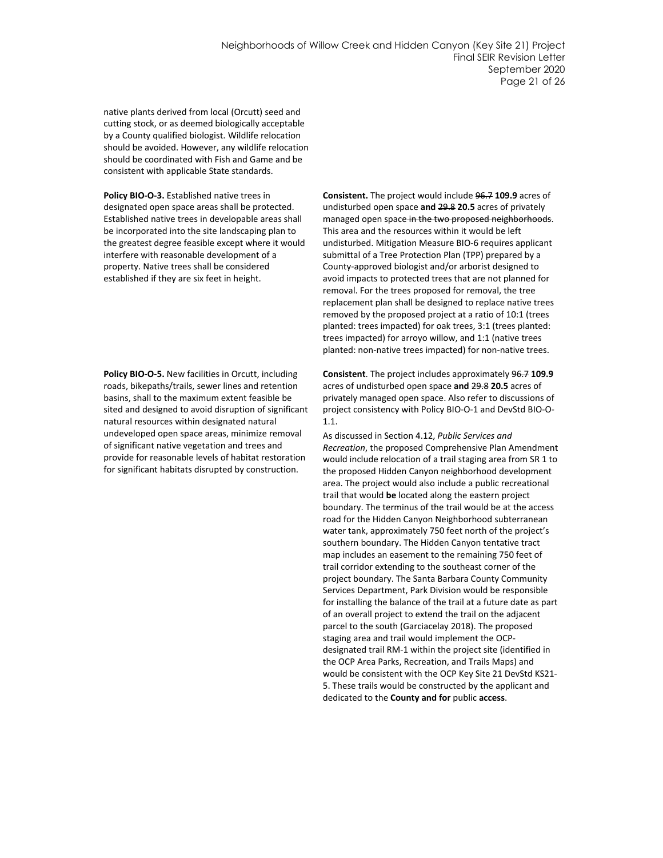native plants derived from local (Orcutt) seed and cutting stock, or as deemed biologically acceptable by a County qualified biologist. Wildlife relocation should be avoided. However, any wildlife relocation should be coordinated with Fish and Game and be consistent with applicable State standards.

**Policy BIO-O-3.** Established native trees in designated open space areas shall be protected. Established native trees in developable areas shall be incorporated into the site landscaping plan to the greatest degree feasible except where it would interfere with reasonable development of a property. Native trees shall be considered established if they are six feet in height.

**Policy BIO-O-5.** New facilities in Orcutt, including roads, bikepaths/trails, sewer lines and retention basins, shall to the maximum extent feasible be sited and designed to avoid disruption of significant natural resources within designated natural undeveloped open space areas, minimize removal of significant native vegetation and trees and provide for reasonable levels of habitat restoration for significant habitats disrupted by construction.

**Consistent.** The project would include 96.7 **109.9** acres of undisturbed open space **and** 29.8 **20.5** acres of privately managed open space in the two proposed neighborhoods. This area and the resources within it would be left undisturbed. Mitigation Measure BIO-6 requires applicant submittal of a Tree Protection Plan (TPP) prepared by a County-approved biologist and/or arborist designed to avoid impacts to protected trees that are not planned for removal. For the trees proposed for removal, the tree replacement plan shall be designed to replace native trees removed by the proposed project at a ratio of 10:1 (trees planted: trees impacted) for oak trees, 3:1 (trees planted: trees impacted) for arroyo willow, and 1:1 (native trees planted: non-native trees impacted) for non-native trees.

**Consistent**. The project includes approximately 96.7 **109.9** acres of undisturbed open space **and** 29.8 **20.5** acres of privately managed open space. Also refer to discussions of project consistency with Policy BIO-O-1 and DevStd BIO-O-1.1.

As discussed in Section 4.12, *Public Services and Recreation*, the proposed Comprehensive Plan Amendment would include relocation of a trail staging area from SR 1 to the proposed Hidden Canyon neighborhood development area. The project would also include a public recreational trail that would **be** located along the eastern project boundary. The terminus of the trail would be at the access road for the Hidden Canyon Neighborhood subterranean water tank, approximately 750 feet north of the project's southern boundary. The Hidden Canyon tentative tract map includes an easement to the remaining 750 feet of trail corridor extending to the southeast corner of the project boundary. The Santa Barbara County Community Services Department, Park Division would be responsible for installing the balance of the trail at a future date as part of an overall project to extend the trail on the adjacent parcel to the south (Garciacelay 2018). The proposed staging area and trail would implement the OCPdesignated trail RM-1 within the project site (identified in the OCP Area Parks, Recreation, and Trails Maps) and would be consistent with the OCP Key Site 21 DevStd KS21- 5. These trails would be constructed by the applicant and dedicated to the **County and for** public **access**.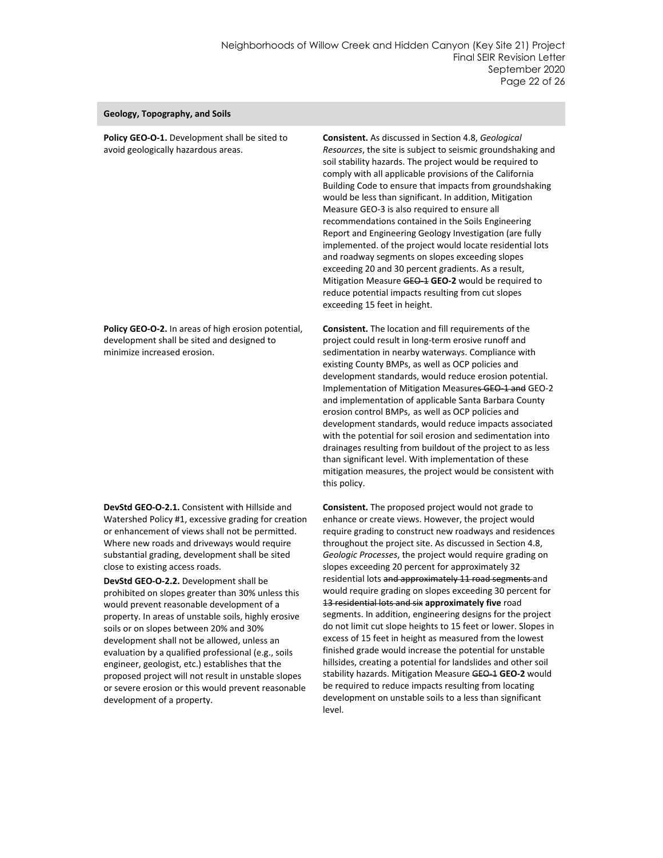#### **Geology, Topography, and Soils**

**Policy GEO-O-1.** Development shall be sited to avoid geologically hazardous areas.

**Policy GEO-O-2.** In areas of high erosion potential, development shall be sited and designed to minimize increased erosion.

**DevStd GEO-O-2.1.** Consistent with Hillside and Watershed Policy #1, excessive grading for creation or enhancement of views shall not be permitted. Where new roads and driveways would require substantial grading, development shall be sited close to existing access roads.

**DevStd GEO-O-2.2.** Development shall be prohibited on slopes greater than 30% unless this would prevent reasonable development of a property. In areas of unstable soils, highly erosive soils or on slopes between 20% and 30% development shall not be allowed, unless an evaluation by a qualified professional (e.g., soils engineer, geologist, etc.) establishes that the proposed project will not result in unstable slopes or severe erosion or this would prevent reasonable development of a property.

**Consistent.** As discussed in Section 4.8, *Geological Resources*, the site is subject to seismic groundshaking and soil stability hazards. The project would be required to comply with all applicable provisions of the California Building Code to ensure that impacts from groundshaking would be less than significant. In addition, Mitigation Measure GEO-3 is also required to ensure all recommendations contained in the Soils Engineering Report and Engineering Geology Investigation (are fully implemented. of the project would locate residential lots and roadway segments on slopes exceeding slopes exceeding 20 and 30 percent gradients. As a result, Mitigation Measure GEO-1 **GEO-2** would be required to reduce potential impacts resulting from cut slopes exceeding 15 feet in height.

**Consistent.** The location and fill requirements of the project could result in long-term erosive runoff and sedimentation in nearby waterways. Compliance with existing County BMPs, as well as OCP policies and development standards, would reduce erosion potential. Implementation of Mitigation Measures GEO-1 and GEO-2 and implementation of applicable Santa Barbara County erosion control BMPs, as well as OCP policies and development standards, would reduce impacts associated with the potential for soil erosion and sedimentation into drainages resulting from buildout of the project to as less than significant level. With implementation of these mitigation measures, the project would be consistent with this policy.

**Consistent.** The proposed project would not grade to enhance or create views. However, the project would require grading to construct new roadways and residences throughout the project site. As discussed in Section 4.8, *Geologic Processes*, the project would require grading on slopes exceeding 20 percent for approximately 32 residential lots and approximately 11 road segments and would require grading on slopes exceeding 30 percent for 13 residential lots and six **approximately five** road segments. In addition, engineering designs for the project do not limit cut slope heights to 15 feet or lower. Slopes in excess of 15 feet in height as measured from the lowest finished grade would increase the potential for unstable hillsides, creating a potential for landslides and other soil stability hazards. Mitigation Measure GEO-1 **GEO-2** would be required to reduce impacts resulting from locating development on unstable soils to a less than significant level.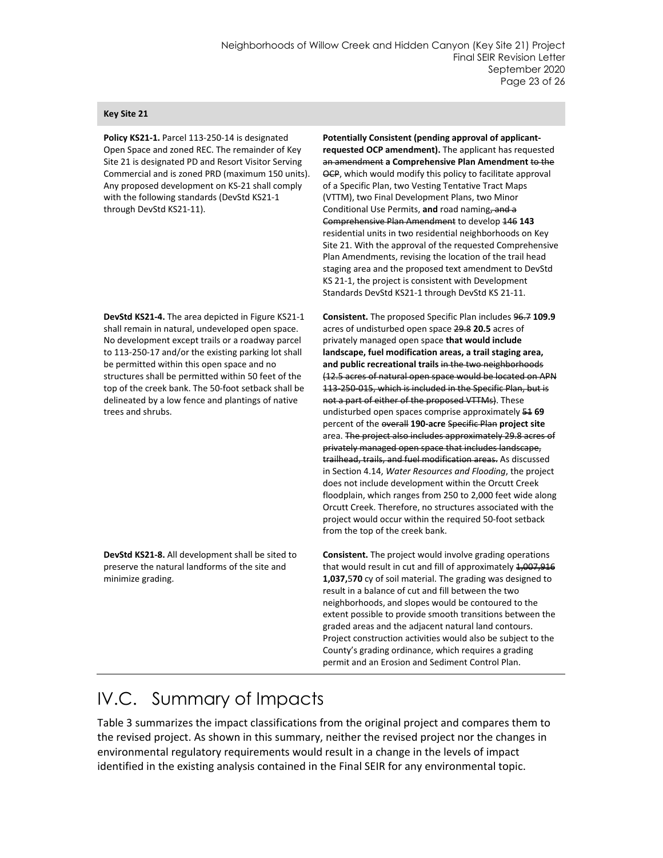#### **Key Site 21**

**Policy KS21-1.** Parcel 113-250-14 is designated Open Space and zoned REC. The remainder of Key Site 21 is designated PD and Resort Visitor Serving Commercial and is zoned PRD (maximum 150 units). Any proposed development on KS-21 shall comply with the following standards (DevStd KS21-1 through DevStd KS21-11).

**DevStd KS21-4.** The area depicted in Figure KS21-1 shall remain in natural, undeveloped open space. No development except trails or a roadway parcel to 113-250-17 and/or the existing parking lot shall be permitted within this open space and no structures shall be permitted within 50 feet of the top of the creek bank. The 50-foot setback shall be delineated by a low fence and plantings of native trees and shrubs.

**DevStd KS21-8.** All development shall be sited to preserve the natural landforms of the site and minimize grading.

**Potentially Consistent (pending approval of applicantrequested OCP amendment).** The applicant has requested an amendment **a Comprehensive Plan Amendment** to the OCP, which would modify this policy to facilitate approval of a Specific Plan, two Vesting Tentative Tract Maps (VTTM), two Final Development Plans, two Minor Conditional Use Permits, **and** road naming, and a Comprehensive Plan Amendment to develop 146 **143** residential units in two residential neighborhoods on Key Site 21. With the approval of the requested Comprehensive Plan Amendments, revising the location of the trail head staging area and the proposed text amendment to DevStd KS 21-1, the project is consistent with Development Standards DevStd KS21-1 through DevStd KS 21-11.

**Consistent.** The proposed Specific Plan includes 96.7 **109.9** acres of undisturbed open space 29.8 **20.5** acres of privately managed open space **that would include landscape, fuel modification areas, a trail staging area, and public recreational trails** in the two neighborhoods (12.5 acres of natural open space would be located on APN 113-250-015, which is included in the Specific Plan, but is not a part of either of the proposed VTTMs). These undisturbed open spaces comprise approximately 51 **69** percent of the overall **190-acre** Specific Plan **project site**  area. The project also includes approximately 29.8 acres of privately managed open space that includes landscape, trailhead, trails, and fuel modification areas. As discussed in Section 4.14, *Water Resources and Flooding*, the project does not include development within the Orcutt Creek floodplain, which ranges from 250 to 2,000 feet wide along Orcutt Creek. Therefore, no structures associated with the project would occur within the required 50-foot setback from the top of the creek bank.

**Consistent.** The project would involve grading operations that would result in cut and fill of approximately 1,007,916 **1,037,**5**70** cy of soil material. The grading was designed to result in a balance of cut and fill between the two neighborhoods, and slopes would be contoured to the extent possible to provide smooth transitions between the graded areas and the adjacent natural land contours. Project construction activities would also be subject to the County's grading ordinance, which requires a grading permit and an Erosion and Sediment Control Plan.

## IV.C. Summary of Impacts

[Table 3](#page-24-0) summarizes the impact classifications from the original project and compares them to the revised project. As shown in this summary, neither the revised project nor the changes in environmental regulatory requirements would result in a change in the levels of impact identified in the existing analysis contained in the Final SEIR for any environmental topic.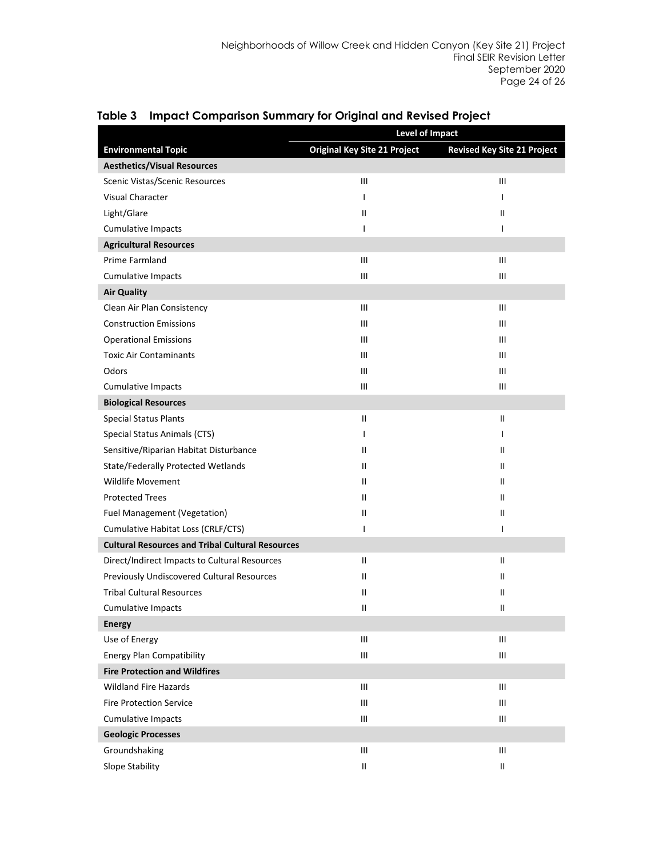|                                                         | <b>Level of Impact</b>              |                                    |  |
|---------------------------------------------------------|-------------------------------------|------------------------------------|--|
| <b>Environmental Topic</b>                              | <b>Original Key Site 21 Project</b> | <b>Revised Key Site 21 Project</b> |  |
| <b>Aesthetics/Visual Resources</b>                      |                                     |                                    |  |
| Scenic Vistas/Scenic Resources                          | Ш                                   | Ш                                  |  |
| <b>Visual Character</b>                                 | $\mathbf{I}$                        | $\mathsf{I}$                       |  |
| Light/Glare                                             | Ш                                   | Ш                                  |  |
| <b>Cumulative Impacts</b>                               | I.                                  | T                                  |  |
| <b>Agricultural Resources</b>                           |                                     |                                    |  |
| Prime Farmland                                          | III                                 | $\mathbf{III}$                     |  |
| <b>Cumulative Impacts</b>                               | Ш                                   | Ш                                  |  |
| <b>Air Quality</b>                                      |                                     |                                    |  |
| Clean Air Plan Consistency                              | Ш                                   | $\mathbf{III}$                     |  |
| <b>Construction Emissions</b>                           | Ш                                   | Ш                                  |  |
| <b>Operational Emissions</b>                            | Ш                                   | $\mathbf{III}$                     |  |
| <b>Toxic Air Contaminants</b>                           | Ш                                   | $\mathbf{III}$                     |  |
| Odors                                                   | Ш                                   | $\mathbf{III}$                     |  |
| <b>Cumulative Impacts</b>                               | Ш                                   | Ш                                  |  |
| <b>Biological Resources</b>                             |                                     |                                    |  |
| <b>Special Status Plants</b>                            | Ш                                   | $\mathbf{H}$                       |  |
| Special Status Animals (CTS)                            | $\mathbf{I}$                        | $\mathbf{I}$                       |  |
| Sensitive/Riparian Habitat Disturbance                  | Ш                                   | $\mathbf{H}$                       |  |
| <b>State/Federally Protected Wetlands</b>               | Ш                                   | $\mathbf{H}$                       |  |
| <b>Wildlife Movement</b>                                | Ш                                   | $\mathbf{H}$                       |  |
| <b>Protected Trees</b>                                  | Ш                                   | $\mathbf{H}$                       |  |
| Fuel Management (Vegetation)                            | $\mathbf{  }$                       | $\mathbf{II}$                      |  |
| Cumulative Habitat Loss (CRLF/CTS)                      | I                                   | I                                  |  |
| <b>Cultural Resources and Tribal Cultural Resources</b> |                                     |                                    |  |
| Direct/Indirect Impacts to Cultural Resources           | Ш                                   | Ш                                  |  |
| Previously Undiscovered Cultural Resources              | Ш                                   | $\mathbf{H}$                       |  |
| <b>Tribal Cultural Resources</b>                        | Ш                                   | $\mathbf{H}$                       |  |
| <b>Cumulative Impacts</b>                               | Ш                                   | Ш                                  |  |
| <b>Energy</b>                                           |                                     |                                    |  |
| Use of Energy                                           | Ш                                   | Ш                                  |  |
| <b>Energy Plan Compatibility</b>                        | Ш                                   | $\mathbf{III}$                     |  |
| <b>Fire Protection and Wildfires</b>                    |                                     |                                    |  |
| <b>Wildland Fire Hazards</b>                            | Ш                                   | $\mathop{\mathsf{III}}\nolimits$   |  |
| <b>Fire Protection Service</b>                          | Ш                                   | Ш                                  |  |
| <b>Cumulative Impacts</b>                               | Ш                                   | $\mathbf{III}$                     |  |
| <b>Geologic Processes</b>                               |                                     |                                    |  |
| Groundshaking                                           | Ш                                   | $\mathop{\mathsf{III}}\nolimits$   |  |
| Slope Stability                                         | $\mathbf{  }$                       | $\mathbf{II}$                      |  |

<span id="page-24-0"></span>**Table 3 Impact Comparison Summary for Original and Revised Project**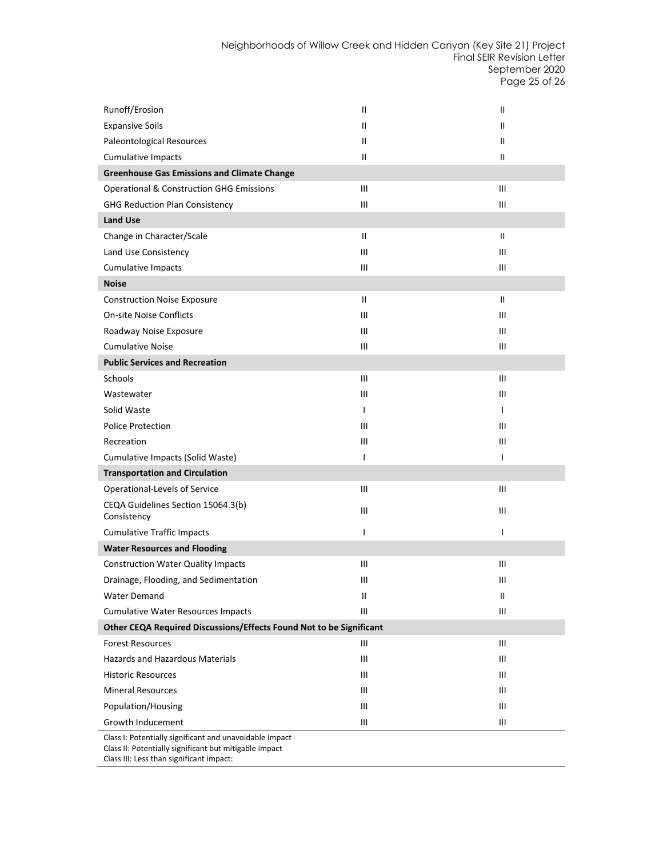Neighborhoods of Willow Creek and Hidden Canyon (Key Site 21) Project Final SEIR Revision Letter September 2020 Page 25 of 26

| Runoff/Erosion                                                      | Ш                                | $\mathbf{H}$  |
|---------------------------------------------------------------------|----------------------------------|---------------|
| <b>Expansive Soils</b>                                              | $\mathbf{H}$                     | $\mathbf{II}$ |
| Paleontological Resources                                           | Ш                                | $\mathbf{II}$ |
| <b>Cumulative Impacts</b>                                           | Ш                                | Ш             |
| <b>Greenhouse Gas Emissions and Climate Change</b>                  |                                  |               |
| <b>Operational &amp; Construction GHG Emissions</b>                 | Ш                                | Ш             |
| <b>GHG Reduction Plan Consistency</b>                               | III                              | Ш             |
| <b>Land Use</b>                                                     |                                  |               |
| Change in Character/Scale                                           | $\mathbf{H}$                     | $\mathbf{I}$  |
| Land Use Consistency                                                | Ш                                | Ш             |
| <b>Cumulative Impacts</b>                                           | Ш                                | Ш             |
| <b>Noise</b>                                                        |                                  |               |
| <b>Construction Noise Exposure</b>                                  | $\mathbf{H}$                     | $\mathbf{II}$ |
| <b>On-site Noise Conflicts</b>                                      | $\mathbf{III}$                   | Ш             |
| Roadway Noise Exposure                                              | Ш                                | Ш             |
| <b>Cumulative Noise</b>                                             | $\mathop{\mathsf{III}}\nolimits$ | Ш             |
| <b>Public Services and Recreation</b>                               |                                  |               |
| Schools                                                             | Ш                                | Ш             |
| Wastewater                                                          | Ш                                | Ш             |
| Solid Waste                                                         | $\mathbf{I}$                     | $\mathbf{I}$  |
| <b>Police Protection</b>                                            | Ш                                | Ш             |
| Recreation                                                          | Ш                                | Ш             |
| Cumulative Impacts (Solid Waste)                                    | T                                | $\mathbf{I}$  |
| <b>Transportation and Circulation</b>                               |                                  |               |
| Operational-Levels of Service                                       | Ш                                | Ш             |
| CEQA Guidelines Section 15064.3(b)<br>Consistency                   | Ш                                | Ш             |
| <b>Cumulative Traffic Impacts</b>                                   | I                                | $\mathsf{I}$  |
| <b>Water Resources and Flooding</b>                                 |                                  |               |
| <b>Construction Water Quality Impacts</b>                           | $\mathsf{III}$                   | Ш             |
| Drainage, Flooding, and Sedimentation                               | Ш                                | Ш             |
| Water Demand                                                        | $\mathbf{  }$                    | Ш             |
| <b>Cumulative Water Resources Impacts</b>                           | Ш                                | Ш             |
| Other CEQA Required Discussions/Effects Found Not to be Significant |                                  |               |
| <b>Forest Resources</b>                                             | Ш                                | Ш             |
| Hazards and Hazardous Materials                                     | Ш                                | Ш             |
| <b>Historic Resources</b>                                           | Ш                                | Ш             |
| <b>Mineral Resources</b>                                            | Ш                                | Ш             |
| Population/Housing                                                  | Ш                                | Ш             |
| <b>Growth Inducement</b>                                            | Ш                                | Ш             |
| Class I: Potentially significant and unavoidable impact             |                                  |               |

Class II: Potentially significant but mitigable impact

Class III: Less than significant impact: